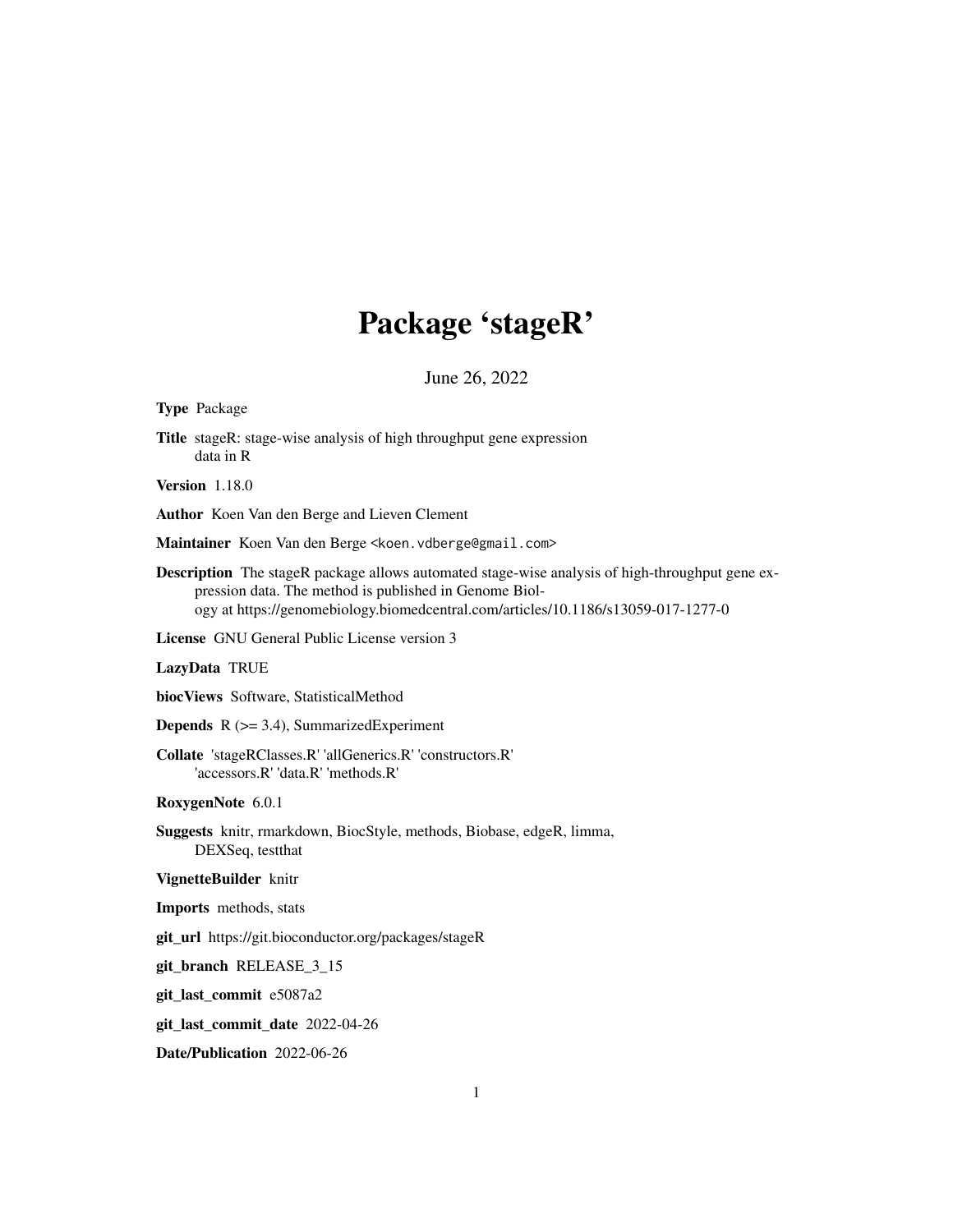# Package 'stageR'

June 26, 2022

<span id="page-0-0"></span>

| <b>Type Package</b>                                                                                                                                                                                                                                   |
|-------------------------------------------------------------------------------------------------------------------------------------------------------------------------------------------------------------------------------------------------------|
| <b>Title</b> stageR: stage-wise analysis of high throughput gene expression<br>data in R                                                                                                                                                              |
| <b>Version</b> 1.18.0                                                                                                                                                                                                                                 |
| Author Koen Van den Berge and Lieven Clement                                                                                                                                                                                                          |
| Maintainer Koen Van den Berge <koen. vdberge@gmail.com=""></koen.>                                                                                                                                                                                    |
| <b>Description</b> The stageR package allows automated stage-wise analysis of high-throughput gene ex-<br>pression data. The method is published in Genome Biol-<br>ogy at https://genomebiology.biomedcentral.com/articles/10.1186/s13059-017-1277-0 |
| <b>License</b> GNU General Public License version 3                                                                                                                                                                                                   |
| LazyData TRUE                                                                                                                                                                                                                                         |
| biocViews Software, StatisticalMethod                                                                                                                                                                                                                 |
| <b>Depends</b> $R$ ( $>=$ 3.4), Summarized Experiment                                                                                                                                                                                                 |
| Collate 'stageRClasses.R' 'allGenerics.R' 'constructors.R'<br>'accessors.R' 'data.R' 'methods.R'                                                                                                                                                      |
| RoxygenNote 6.0.1                                                                                                                                                                                                                                     |
| Suggests knitr, rmarkdown, BiocStyle, methods, Biobase, edgeR, limma,<br>DEXSeq, testthat                                                                                                                                                             |
| VignetteBuilder knitr                                                                                                                                                                                                                                 |
| Imports methods, stats                                                                                                                                                                                                                                |
| git_url https://git.bioconductor.org/packages/stageR                                                                                                                                                                                                  |
| git_branch RELEASE_3_15                                                                                                                                                                                                                               |
| git_last_commit e5087a2                                                                                                                                                                                                                               |
| git_last_commit_date 2022-04-26                                                                                                                                                                                                                       |
| Date/Publication 2022-06-26                                                                                                                                                                                                                           |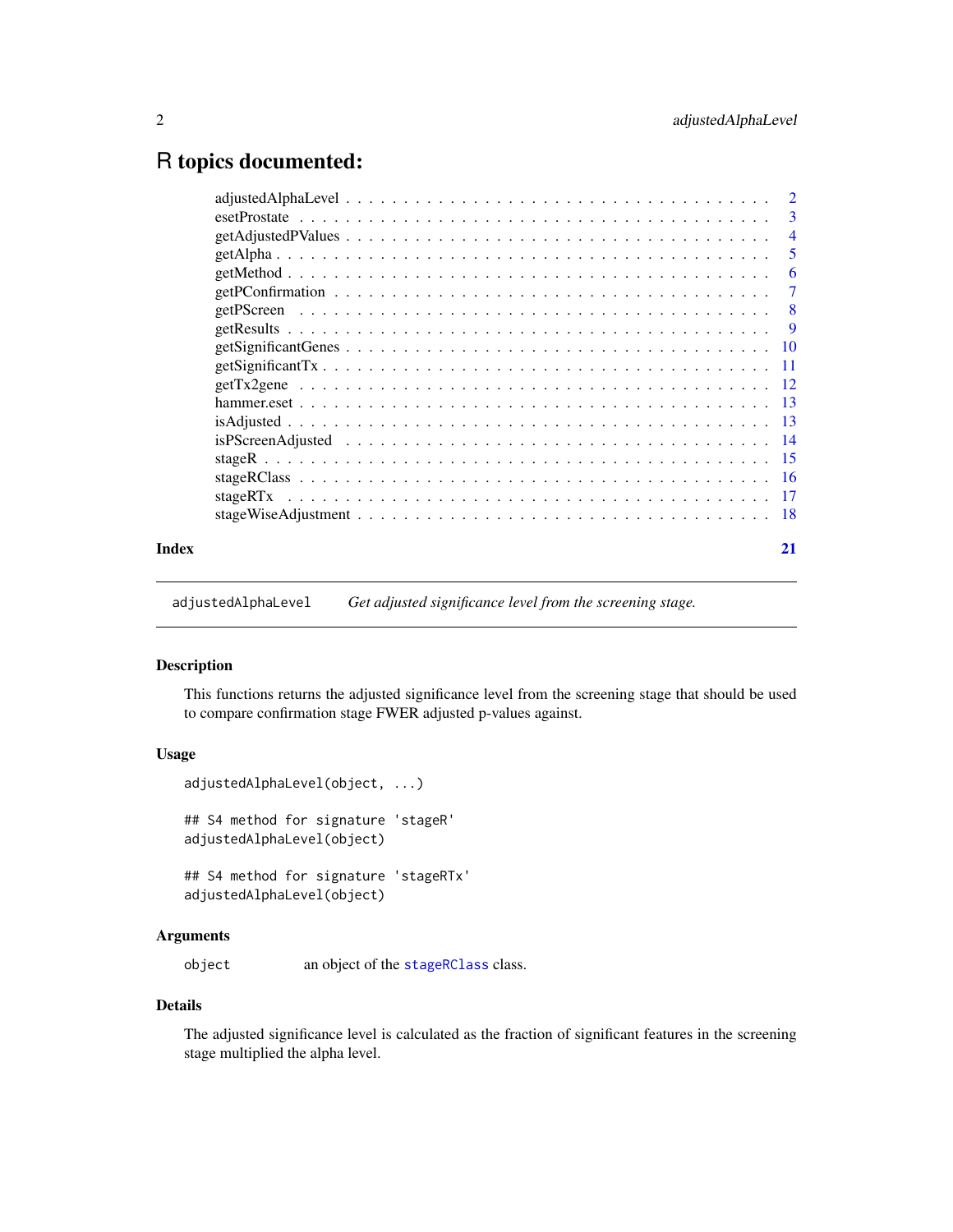# <span id="page-1-0"></span>R topics documented:

|       | $\overline{2}$                                                                                                   |                         |
|-------|------------------------------------------------------------------------------------------------------------------|-------------------------|
|       |                                                                                                                  | $\overline{\mathbf{3}}$ |
|       | $getAdjustedPV values \dots \dots \dots \dots \dots \dots \dots \dots \dots \dots \dots \dots \dots \dots \dots$ | $\overline{4}$          |
|       |                                                                                                                  | -5                      |
|       |                                                                                                                  | -6                      |
|       |                                                                                                                  | -7                      |
|       | - 8                                                                                                              |                         |
|       |                                                                                                                  |                         |
|       |                                                                                                                  |                         |
|       |                                                                                                                  |                         |
|       |                                                                                                                  |                         |
|       |                                                                                                                  |                         |
|       |                                                                                                                  |                         |
|       |                                                                                                                  |                         |
|       |                                                                                                                  |                         |
|       |                                                                                                                  |                         |
|       |                                                                                                                  |                         |
|       |                                                                                                                  |                         |
| Index | 21                                                                                                               |                         |

adjustedAlphaLevel *Get adjusted significance level from the screening stage.*

# Description

This functions returns the adjusted significance level from the screening stage that should be used to compare confirmation stage FWER adjusted p-values against.

# Usage

```
adjustedAlphaLevel(object, ...)
## S4 method for signature 'stageR'
adjustedAlphaLevel(object)
## S4 method for signature 'stageRTx'
adjustedAlphaLevel(object)
```
#### Arguments

object an object of the [stageRClass](#page-15-1) class.

# Details

The adjusted significance level is calculated as the fraction of significant features in the screening stage multiplied the alpha level.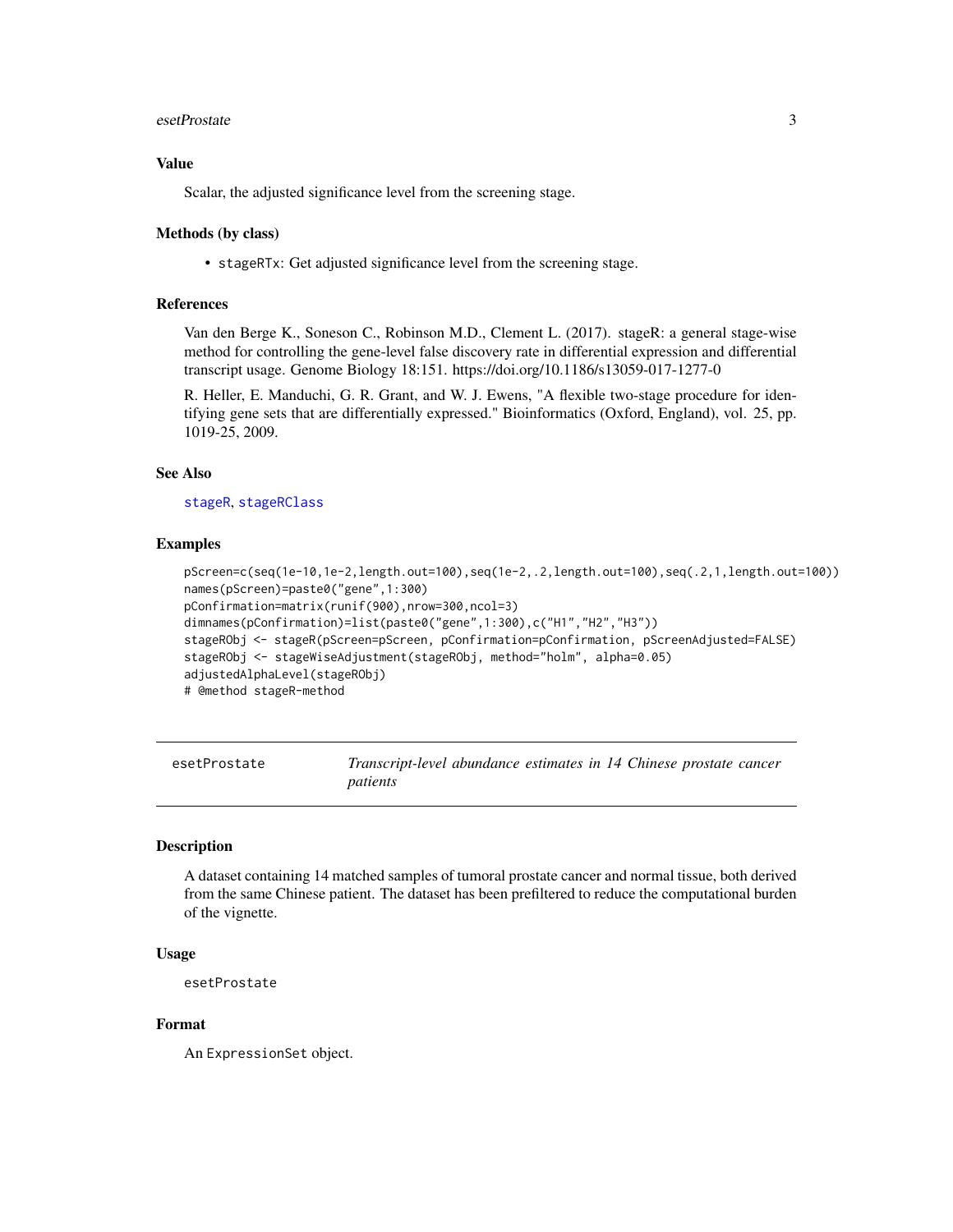#### <span id="page-2-0"></span>esetProstate 3

# Value

Scalar, the adjusted significance level from the screening stage.

#### Methods (by class)

• stageRTx: Get adjusted significance level from the screening stage.

# References

Van den Berge K., Soneson C., Robinson M.D., Clement L. (2017). stageR: a general stage-wise method for controlling the gene-level false discovery rate in differential expression and differential transcript usage. Genome Biology 18:151. https://doi.org/10.1186/s13059-017-1277-0

R. Heller, E. Manduchi, G. R. Grant, and W. J. Ewens, "A flexible two-stage procedure for identifying gene sets that are differentially expressed." Bioinformatics (Oxford, England), vol. 25, pp. 1019-25, 2009.

# See Also

[stageR](#page-14-1), [stageRClass](#page-15-1)

# Examples

```
pScreen=c(seq(1e-10,1e-2,length.out=100),seq(1e-2,.2,length.out=100),seq(.2,1,length.out=100))
names(pScreen)=paste0("gene",1:300)
pConfirmation=matrix(runif(900),nrow=300,ncol=3)
dimnames(pConfirmation)=list(paste0("gene",1:300),c("H1","H2","H3"))
stageRObj <- stageR(pScreen=pScreen, pConfirmation=pConfirmation, pScreenAdjusted=FALSE)
stageRObj <- stageWiseAdjustment(stageRObj, method="holm", alpha=0.05)
adjustedAlphaLevel(stageRObj)
# @method stageR-method
```
esetProstate *Transcript-level abundance estimates in 14 Chinese prostate cancer patients*

# **Description**

A dataset containing 14 matched samples of tumoral prostate cancer and normal tissue, both derived from the same Chinese patient. The dataset has been prefiltered to reduce the computational burden of the vignette.

# Usage

esetProstate

#### Format

An ExpressionSet object.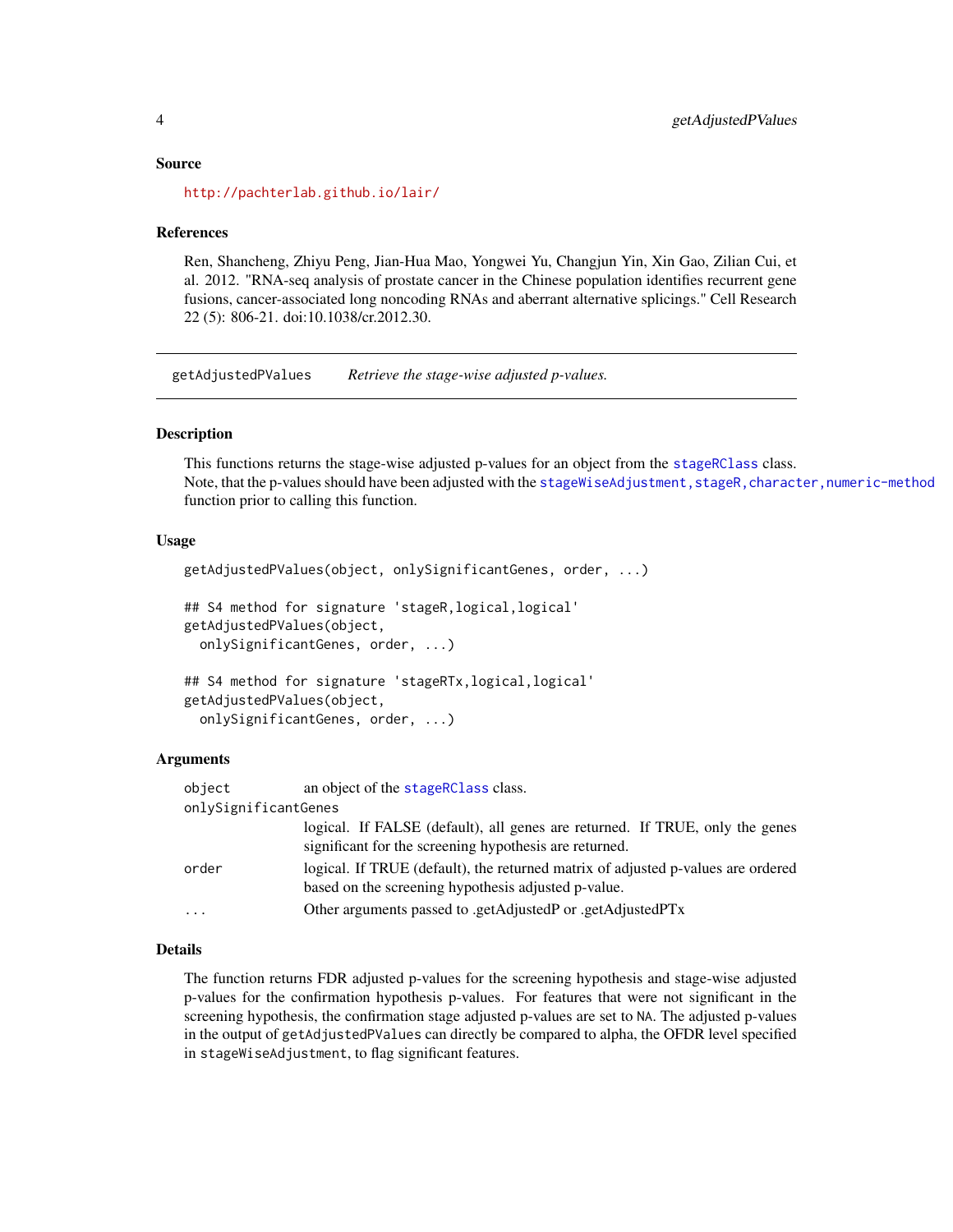#### <span id="page-3-0"></span>Source

<http://pachterlab.github.io/lair/>

#### References

Ren, Shancheng, Zhiyu Peng, Jian-Hua Mao, Yongwei Yu, Changjun Yin, Xin Gao, Zilian Cui, et al. 2012. "RNA-seq analysis of prostate cancer in the Chinese population identifies recurrent gene fusions, cancer-associated long noncoding RNAs and aberrant alternative splicings." Cell Research 22 (5): 806-21. doi:10.1038/cr.2012.30.

getAdjustedPValues *Retrieve the stage-wise adjusted p-values.*

# Description

This functions returns the stage-wise adjusted p-values for an object from the [stageRClass](#page-15-1) class. Note, that the p-values should have been adjusted with the stageWiseAdjustment, stageR, character, numeric-method function prior to calling this function.

# Usage

```
getAdjustedPValues(object, onlySignificantGenes, order, ...)
## S4 method for signature 'stageR,logical,logical'
getAdjustedPValues(object,
  onlySignificantGenes, order, ...)
## S4 method for signature 'stageRTx,logical,logical'
getAdjustedPValues(object,
  onlySignificantGenes, order, ...)
```
# Arguments

| object               | an object of the stageRClass class.                                                                                                     |
|----------------------|-----------------------------------------------------------------------------------------------------------------------------------------|
| onlySignificantGenes |                                                                                                                                         |
|                      | logical. If FALSE (default), all genes are returned. If TRUE, only the genes<br>significant for the screening hypothesis are returned.  |
| order                | logical. If TRUE (default), the returned matrix of adjusted p-values are ordered<br>based on the screening hypothesis adjusted p-value. |
| $\cdots$             | Other arguments passed to .getAdjustedP or .getAdjustedPTx                                                                              |

# Details

The function returns FDR adjusted p-values for the screening hypothesis and stage-wise adjusted p-values for the confirmation hypothesis p-values. For features that were not significant in the screening hypothesis, the confirmation stage adjusted p-values are set to NA. The adjusted p-values in the output of getAdjustedPValues can directly be compared to alpha, the OFDR level specified in stageWiseAdjustment, to flag significant features.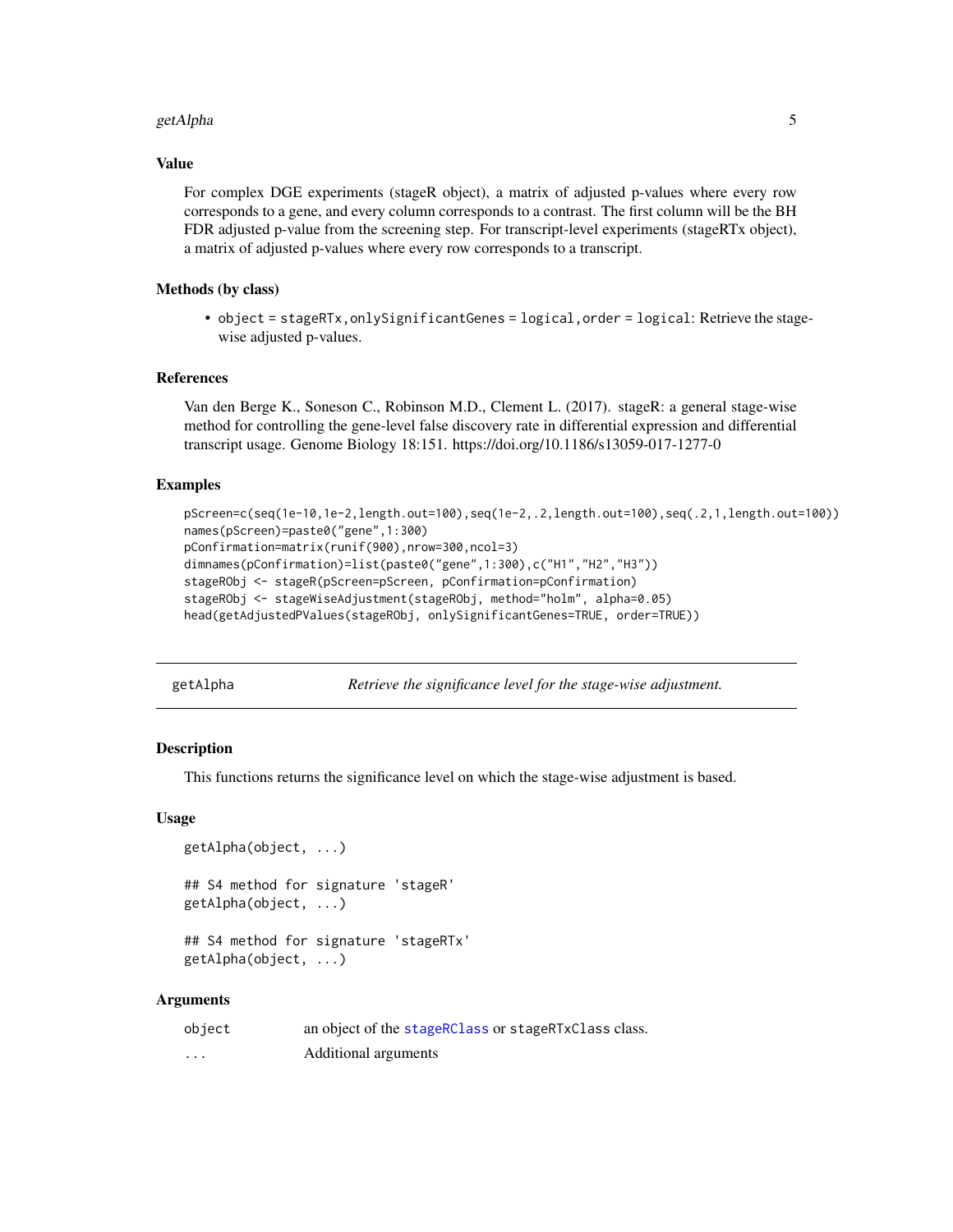#### <span id="page-4-0"></span>getAlpha 5

#### Value

For complex DGE experiments (stageR object), a matrix of adjusted p-values where every row corresponds to a gene, and every column corresponds to a contrast. The first column will be the BH FDR adjusted p-value from the screening step. For transcript-level experiments (stageRTx object), a matrix of adjusted p-values where every row corresponds to a transcript.

# Methods (by class)

• object = stageRTx,onlySignificantGenes = logical,order = logical: Retrieve the stagewise adjusted p-values.

# References

Van den Berge K., Soneson C., Robinson M.D., Clement L. (2017). stageR: a general stage-wise method for controlling the gene-level false discovery rate in differential expression and differential transcript usage. Genome Biology 18:151. https://doi.org/10.1186/s13059-017-1277-0

# Examples

```
pScreen=c(seq(1e-10,1e-2,length.out=100),seq(1e-2,.2,length.out=100),seq(.2,1,length.out=100))
names(pScreen)=paste0("gene",1:300)
pConfirmation=matrix(runif(900),nrow=300,ncol=3)
dimnames(pConfirmation)=list(paste0("gene",1:300),c("H1","H2","H3"))
stageRObj <- stageR(pScreen=pScreen, pConfirmation=pConfirmation)
stageRObj <- stageWiseAdjustment(stageRObj, method="holm", alpha=0.05)
head(getAdjustedPValues(stageRObj, onlySignificantGenes=TRUE, order=TRUE))
```
getAlpha *Retrieve the significance level for the stage-wise adjustment.*

# Description

This functions returns the significance level on which the stage-wise adjustment is based.

#### Usage

```
getAlpha(object, ...)
## S4 method for signature 'stageR'
getAlpha(object, ...)
## S4 method for signature 'stageRTx'
getAlpha(object, ...)
```
#### **Arguments**

| object            | an object of the stageRClass or stageRTxClass class. |
|-------------------|------------------------------------------------------|
| $\cdot\cdot\cdot$ | Additional arguments                                 |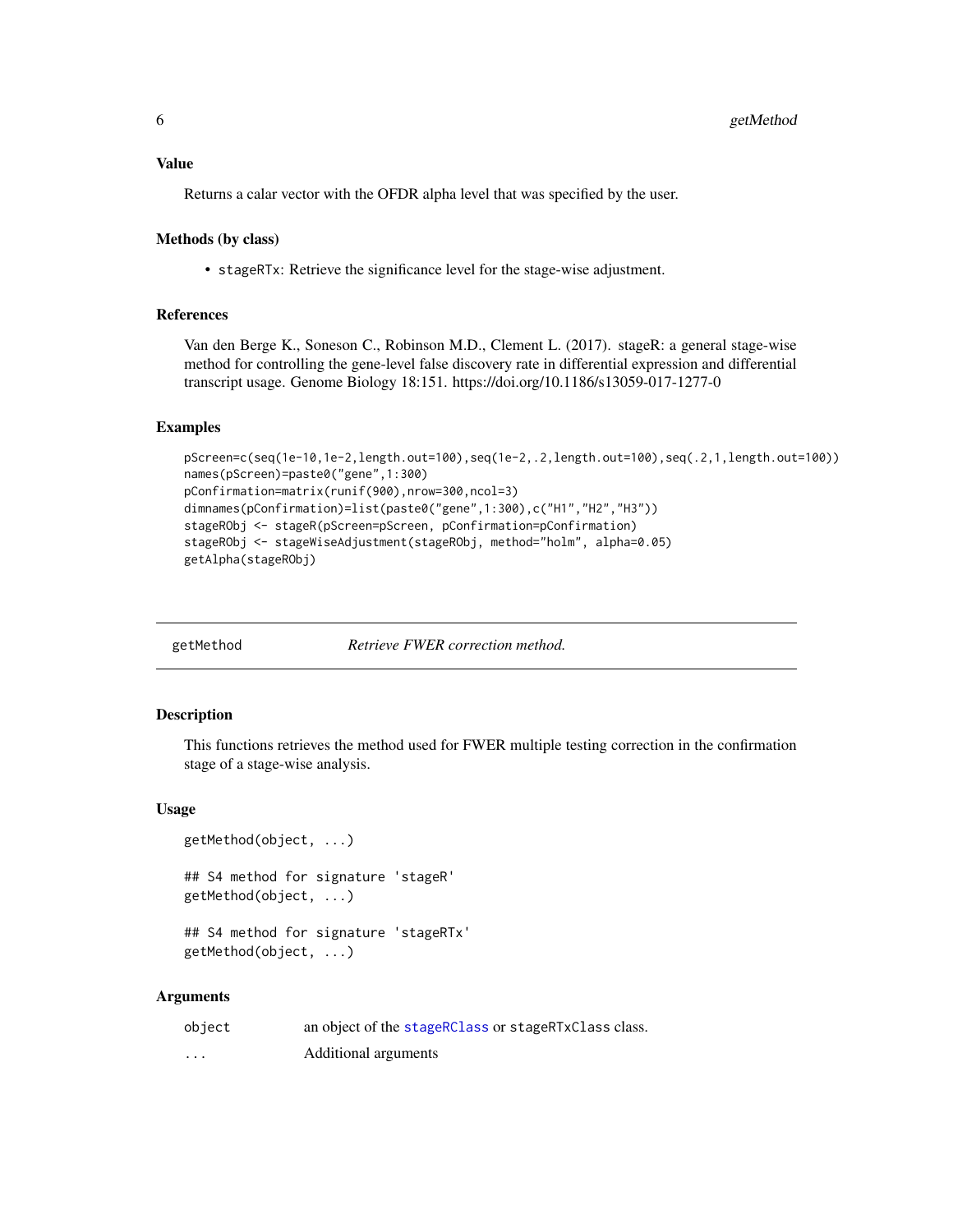# <span id="page-5-0"></span>Value

Returns a calar vector with the OFDR alpha level that was specified by the user.

# Methods (by class)

• stageRTx: Retrieve the significance level for the stage-wise adjustment.

# References

Van den Berge K., Soneson C., Robinson M.D., Clement L. (2017). stageR: a general stage-wise method for controlling the gene-level false discovery rate in differential expression and differential transcript usage. Genome Biology 18:151. https://doi.org/10.1186/s13059-017-1277-0

# Examples

```
pScreen=c(seq(1e-10,1e-2,length.out=100),seq(1e-2,.2,length.out=100),seq(.2,1,length.out=100))
names(pScreen)=paste0("gene",1:300)
pConfirmation=matrix(runif(900),nrow=300,ncol=3)
dimnames(pConfirmation)=list(paste0("gene",1:300),c("H1","H2","H3"))
stageRObj <- stageR(pScreen=pScreen, pConfirmation=pConfirmation)
stageRObj <- stageWiseAdjustment(stageRObj, method="holm", alpha=0.05)
getAlpha(stageRObj)
```
getMethod *Retrieve FWER correction method.*

#### Description

This functions retrieves the method used for FWER multiple testing correction in the confirmation stage of a stage-wise analysis.

#### Usage

```
getMethod(object, ...)
## S4 method for signature 'stageR'
getMethod(object, ...)
## S4 method for signature 'stageRTx'
getMethod(object, ...)
```
#### Arguments

| object                  | an object of the stageRClass or stageRTxClass class. |
|-------------------------|------------------------------------------------------|
| $\cdot$ $\cdot$ $\cdot$ | Additional arguments                                 |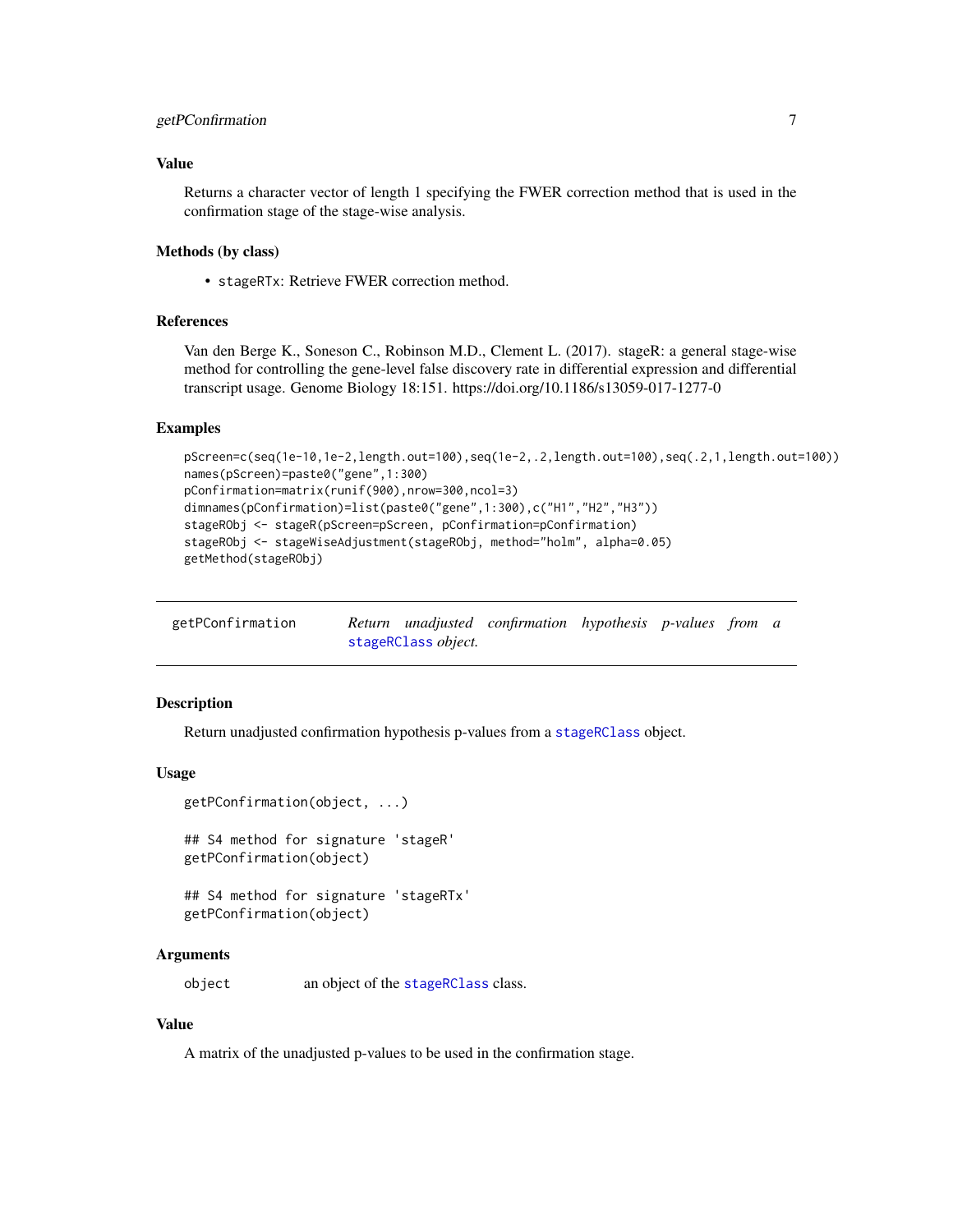# <span id="page-6-0"></span>getPConfirmation 7

# Value

Returns a character vector of length 1 specifying the FWER correction method that is used in the confirmation stage of the stage-wise analysis.

# Methods (by class)

• stageRTx: Retrieve FWER correction method.

# References

Van den Berge K., Soneson C., Robinson M.D., Clement L. (2017). stageR: a general stage-wise method for controlling the gene-level false discovery rate in differential expression and differential transcript usage. Genome Biology 18:151. https://doi.org/10.1186/s13059-017-1277-0

#### Examples

```
pScreen=c(seq(1e-10,1e-2,length.out=100),seq(1e-2,.2,length.out=100),seq(.2,1,length.out=100))
names(pScreen)=paste0("gene",1:300)
pConfirmation=matrix(runif(900),nrow=300,ncol=3)
dimnames(pConfirmation)=list(paste0("gene",1:300),c("H1","H2","H3"))
stageRObj <- stageR(pScreen=pScreen, pConfirmation=pConfirmation)
stageRObj <- stageWiseAdjustment(stageRObj, method="holm", alpha=0.05)
getMethod(stageRObj)
```

| getPConfirmation |                     | Return unadjusted confirmation hypothesis p-values from a |  |  |
|------------------|---------------------|-----------------------------------------------------------|--|--|
|                  | stageRClass object. |                                                           |  |  |

# **Description**

Return unadjusted confirmation hypothesis p-values from a [stageRClass](#page-15-1) object.

#### Usage

```
getPConfirmation(object, ...)
## S4 method for signature 'stageR'
getPConfirmation(object)
```

```
## S4 method for signature 'stageRTx'
getPConfirmation(object)
```
# Arguments

object an object of the [stageRClass](#page-15-1) class.

# Value

A matrix of the unadjusted p-values to be used in the confirmation stage.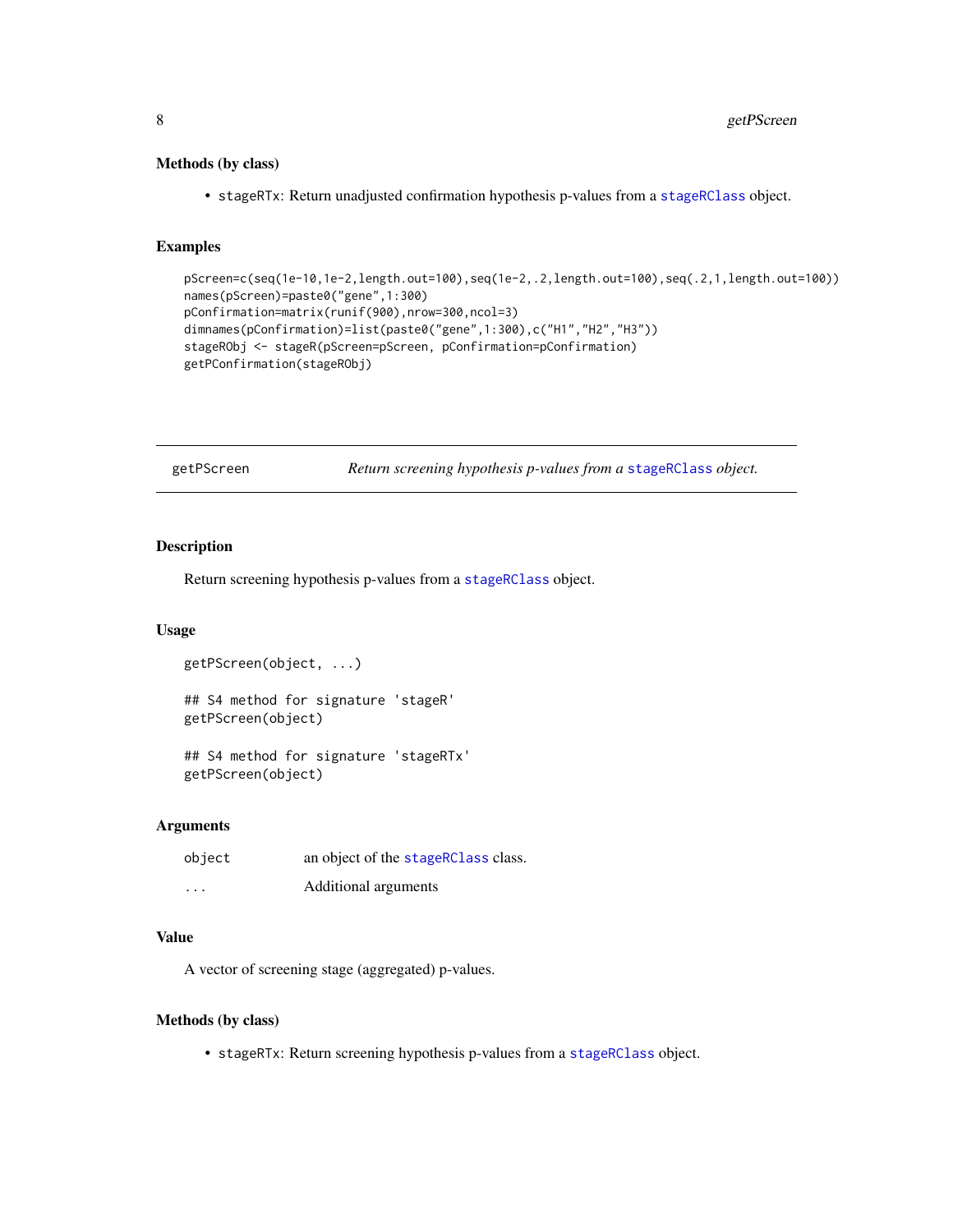# <span id="page-7-0"></span>Methods (by class)

• stageRTx: Return unadjusted confirmation hypothesis p-values from a [stageRClass](#page-15-1) object.

# Examples

```
pScreen=c(seq(1e-10,1e-2,length.out=100),seq(1e-2,.2,length.out=100),seq(.2,1,length.out=100))
names(pScreen)=paste0("gene",1:300)
pConfirmation=matrix(runif(900),nrow=300,ncol=3)
dimnames(pConfirmation)=list(paste0("gene",1:300),c("H1","H2","H3"))
stageRObj <- stageR(pScreen=pScreen, pConfirmation=pConfirmation)
getPConfirmation(stageRObj)
```
getPScreen *Return screening hypothesis p-values from a* [stageRClass](#page-15-1) *object.*

# Description

Return screening hypothesis p-values from a [stageRClass](#page-15-1) object.

#### Usage

```
getPScreen(object, ...)
## S4 method for signature 'stageR'
getPScreen(object)
## S4 method for signature 'stageRTx'
```
getPScreen(object)

# Arguments

| object                  | an object of the stageRClass class. |
|-------------------------|-------------------------------------|
| $\cdot$ $\cdot$ $\cdot$ | Additional arguments                |

# Value

A vector of screening stage (aggregated) p-values.

# Methods (by class)

• stageRTx: Return screening hypothesis p-values from a [stageRClass](#page-15-1) object.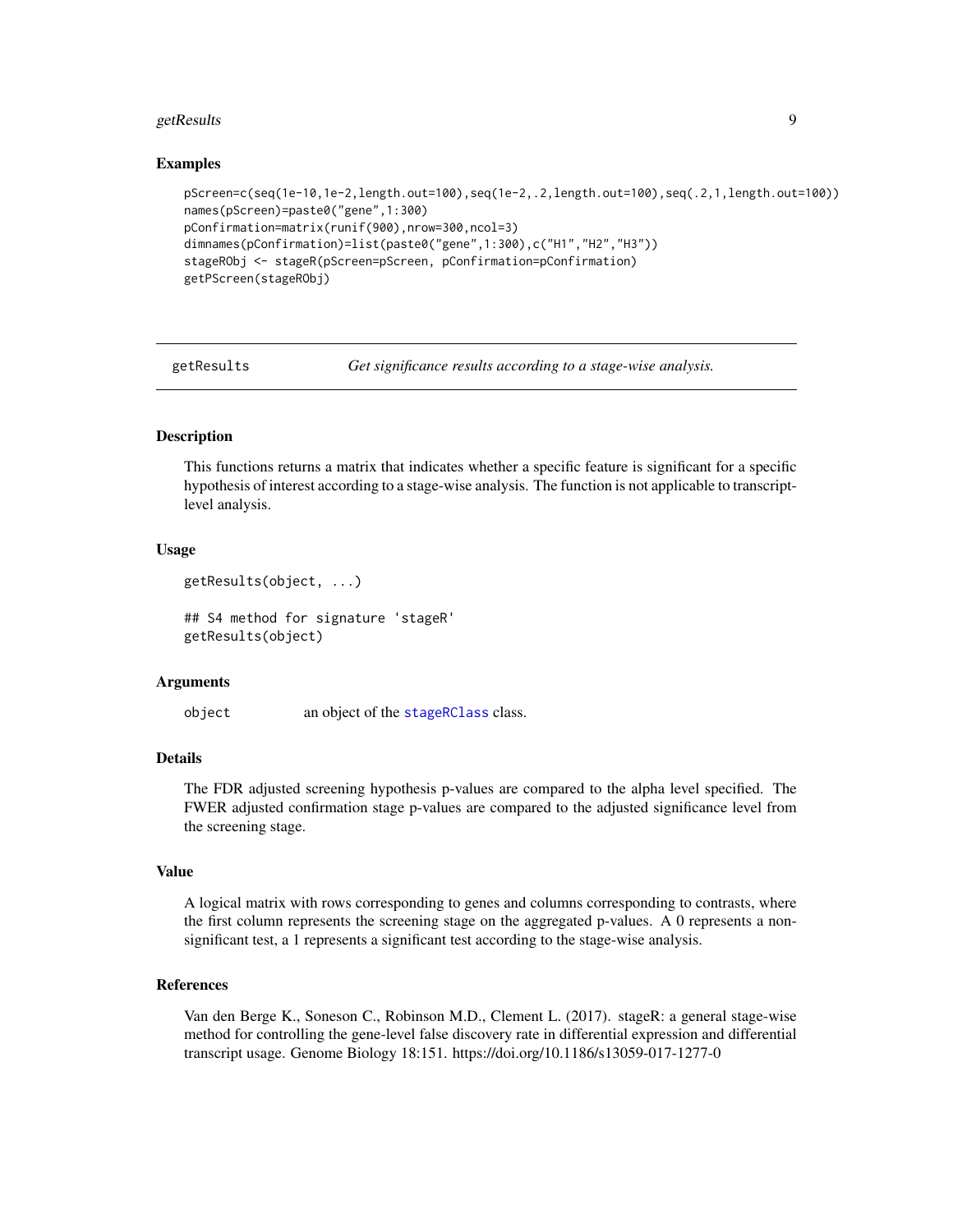#### <span id="page-8-0"></span>getResults and the contract of the contract of the contract of the contract of the contract of the contract of the contract of the contract of the contract of the contract of the contract of the contract of the contract of

# Examples

```
pScreen=c(seq(1e-10,1e-2,length.out=100),seq(1e-2,.2,length.out=100),seq(.2,1,length.out=100))
names(pScreen)=paste0("gene",1:300)
pConfirmation=matrix(runif(900),nrow=300,ncol=3)
dimnames(pConfirmation)=list(paste0("gene",1:300),c("H1","H2","H3"))
stageRObj <- stageR(pScreen=pScreen, pConfirmation=pConfirmation)
getPScreen(stageRObj)
```
getResults *Get significance results according to a stage-wise analysis.*

# Description

This functions returns a matrix that indicates whether a specific feature is significant for a specific hypothesis of interest according to a stage-wise analysis. The function is not applicable to transcriptlevel analysis.

# Usage

```
getResults(object, ...)
```
## S4 method for signature 'stageR' getResults(object)

#### Arguments

object an object of the [stageRClass](#page-15-1) class.

# **Details**

The FDR adjusted screening hypothesis p-values are compared to the alpha level specified. The FWER adjusted confirmation stage p-values are compared to the adjusted significance level from the screening stage.

# Value

A logical matrix with rows corresponding to genes and columns corresponding to contrasts, where the first column represents the screening stage on the aggregated p-values. A 0 represents a nonsignificant test, a 1 represents a significant test according to the stage-wise analysis.

#### References

Van den Berge K., Soneson C., Robinson M.D., Clement L. (2017). stageR: a general stage-wise method for controlling the gene-level false discovery rate in differential expression and differential transcript usage. Genome Biology 18:151. https://doi.org/10.1186/s13059-017-1277-0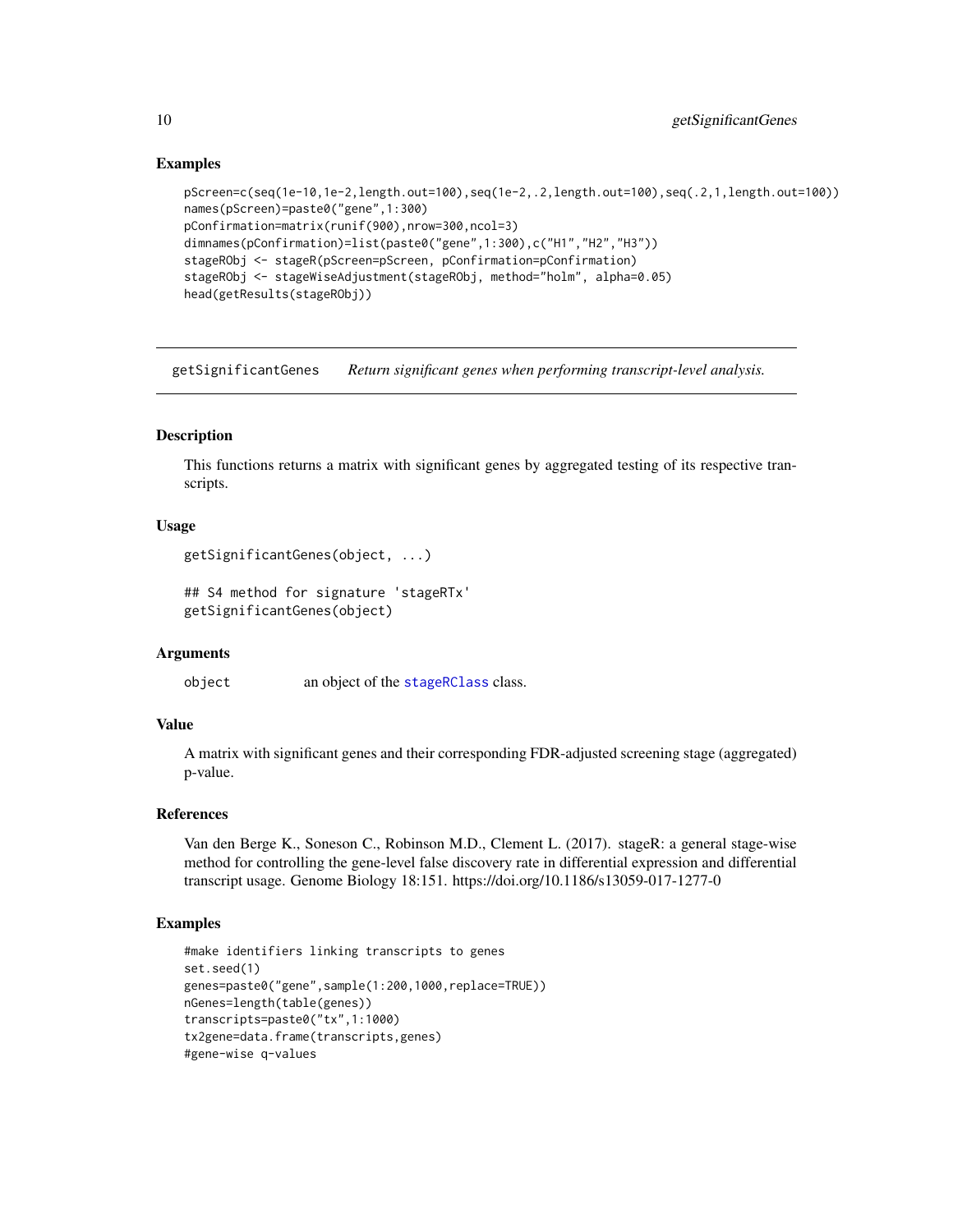# Examples

```
pScreen=c(seq(1e-10,1e-2,length.out=100),seq(1e-2,.2,length.out=100),seq(.2,1,length.out=100))
names(pScreen)=paste0("gene",1:300)
pConfirmation=matrix(runif(900),nrow=300,ncol=3)
dimnames(pConfirmation)=list(paste0("gene",1:300),c("H1","H2","H3"))
stageRObj <- stageR(pScreen=pScreen, pConfirmation=pConfirmation)
stageRObj <- stageWiseAdjustment(stageRObj, method="holm", alpha=0.05)
head(getResults(stageRObj))
```
getSignificantGenes *Return significant genes when performing transcript-level analysis.*

# Description

This functions returns a matrix with significant genes by aggregated testing of its respective transcripts.

# Usage

```
getSignificantGenes(object, ...)
```

```
## S4 method for signature 'stageRTx'
getSignificantGenes(object)
```
# Arguments

object an object of the [stageRClass](#page-15-1) class.

# Value

A matrix with significant genes and their corresponding FDR-adjusted screening stage (aggregated) p-value.

# References

Van den Berge K., Soneson C., Robinson M.D., Clement L. (2017). stageR: a general stage-wise method for controlling the gene-level false discovery rate in differential expression and differential transcript usage. Genome Biology 18:151. https://doi.org/10.1186/s13059-017-1277-0

```
#make identifiers linking transcripts to genes
set.seed(1)
genes=paste0("gene",sample(1:200,1000,replace=TRUE))
nGenes=length(table(genes))
transcripts=paste0("tx",1:1000)
tx2gene=data.frame(transcripts,genes)
#gene-wise q-values
```
<span id="page-9-0"></span>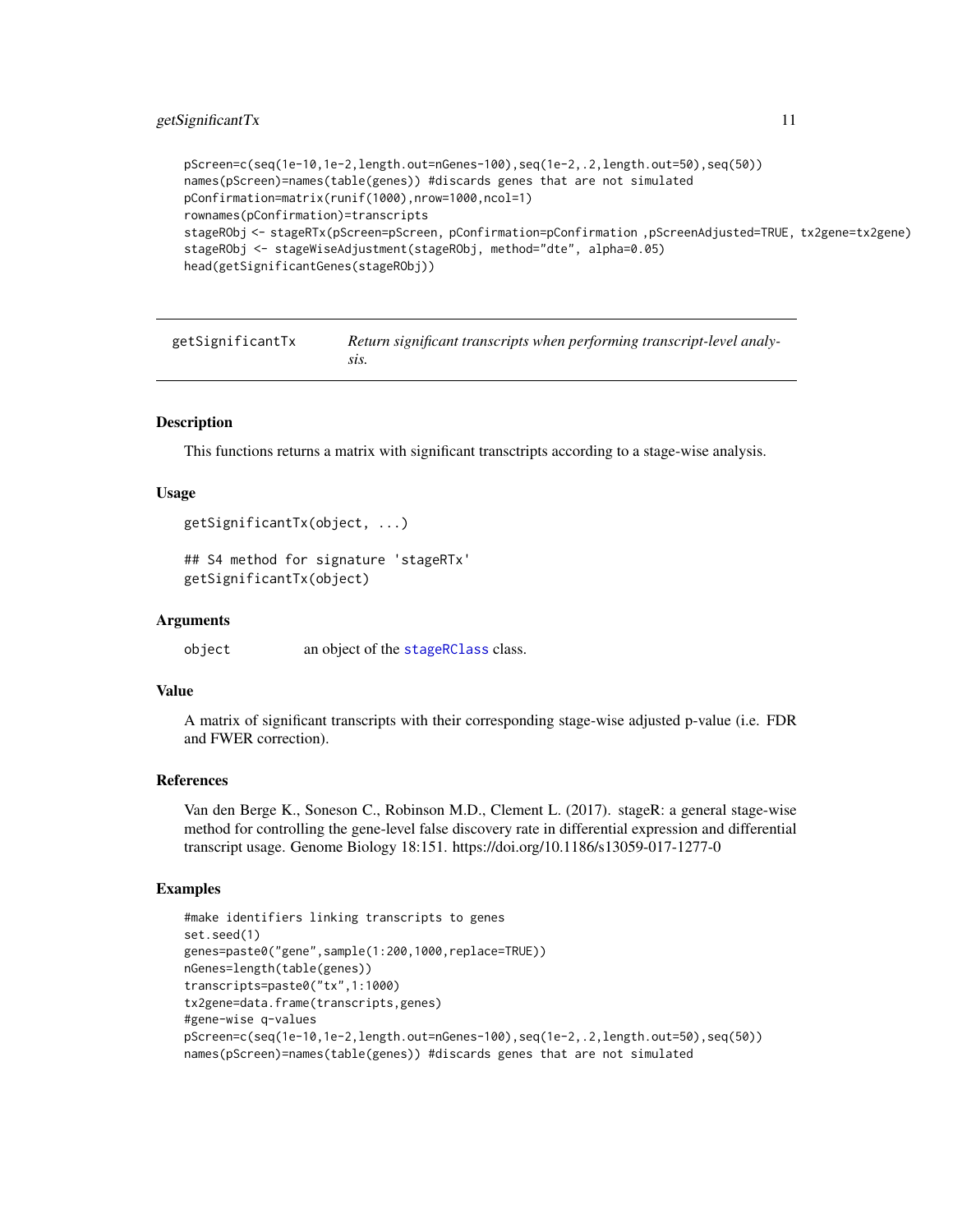# <span id="page-10-0"></span>getSignificantTx 11

```
pScreen=c(seq(1e-10,1e-2,length.out=nGenes-100),seq(1e-2,.2,length.out=50),seq(50))
names(pScreen)=names(table(genes)) #discards genes that are not simulated
pConfirmation=matrix(runif(1000),nrow=1000,ncol=1)
rownames(pConfirmation)=transcripts
stageRObj <- stageRTx(pScreen=pScreen, pConfirmation=pConfirmation ,pScreenAdjusted=TRUE, tx2gene=tx2gene)
stageRObj <- stageWiseAdjustment(stageRObj, method="dte", alpha=0.05)
head(getSignificantGenes(stageRObj))
```

| getSignificantTx | Return significant transcripts when performing transcript-level analy- |
|------------------|------------------------------------------------------------------------|
|                  | SIS.                                                                   |

# **Description**

This functions returns a matrix with significant transctripts according to a stage-wise analysis.

# Usage

```
getSignificantTx(object, ...)
```

```
## S4 method for signature 'stageRTx'
getSignificantTx(object)
```
# Arguments

object an object of the [stageRClass](#page-15-1) class.

# Value

A matrix of significant transcripts with their corresponding stage-wise adjusted p-value (i.e. FDR and FWER correction).

#### References

Van den Berge K., Soneson C., Robinson M.D., Clement L. (2017). stageR: a general stage-wise method for controlling the gene-level false discovery rate in differential expression and differential transcript usage. Genome Biology 18:151. https://doi.org/10.1186/s13059-017-1277-0

```
#make identifiers linking transcripts to genes
set.seed(1)
genes=paste0("gene",sample(1:200,1000,replace=TRUE))
nGenes=length(table(genes))
transcripts=paste0("tx",1:1000)
tx2gene=data.frame(transcripts,genes)
#gene-wise q-values
pScreen=c(seq(1e-10,1e-2,length.out=nGenes-100),seq(1e-2,.2,length.out=50),seq(50))
names(pScreen)=names(table(genes)) #discards genes that are not simulated
```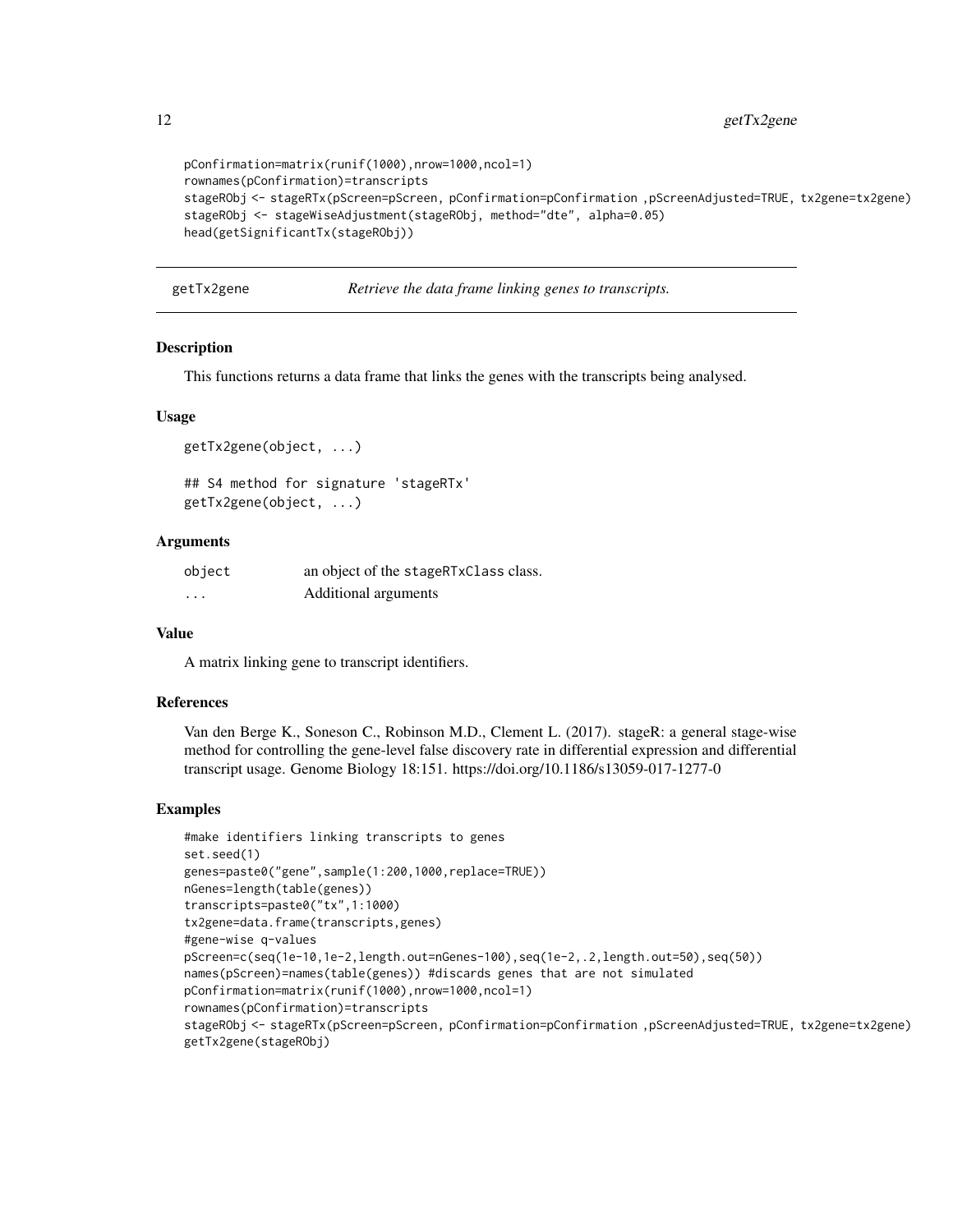```
pConfirmation=matrix(runif(1000),nrow=1000,ncol=1)
rownames(pConfirmation)=transcripts
stageRObj <- stageRTx(pScreen=pScreen, pConfirmation=pConfirmation ,pScreenAdjusted=TRUE, tx2gene=tx2gene)
stageRObj <- stageWiseAdjustment(stageRObj, method="dte", alpha=0.05)
head(getSignificantTx(stageRObj))
```
getTx2gene *Retrieve the data frame linking genes to transcripts.*

# Description

This functions returns a data frame that links the genes with the transcripts being analysed.

# Usage

```
getTx2gene(object, ...)
## S4 method for signature 'stageRTx'
getTx2gene(object, ...)
```
# **Arguments**

| object | an object of the stageRTxClass class. |
|--------|---------------------------------------|
| .      | Additional arguments                  |

# Value

A matrix linking gene to transcript identifiers.

# References

Van den Berge K., Soneson C., Robinson M.D., Clement L. (2017). stageR: a general stage-wise method for controlling the gene-level false discovery rate in differential expression and differential transcript usage. Genome Biology 18:151. https://doi.org/10.1186/s13059-017-1277-0

```
#make identifiers linking transcripts to genes
set.seed(1)
genes=paste0("gene",sample(1:200,1000,replace=TRUE))
nGenes=length(table(genes))
transcripts=paste0("tx",1:1000)
tx2gene=data.frame(transcripts,genes)
#gene-wise q-values
pScreen=c(seq(1e-10,1e-2,length.out=nGenes-100),seq(1e-2,.2,length.out=50),seq(50))
names(pScreen)=names(table(genes)) #discards genes that are not simulated
pConfirmation=matrix(runif(1000),nrow=1000,ncol=1)
rownames(pConfirmation)=transcripts
stageRObj <- stageRTx(pScreen=pScreen, pConfirmation=pConfirmation ,pScreenAdjusted=TRUE, tx2gene=tx2gene)
getTx2gene(stageRObj)
```
<span id="page-11-0"></span>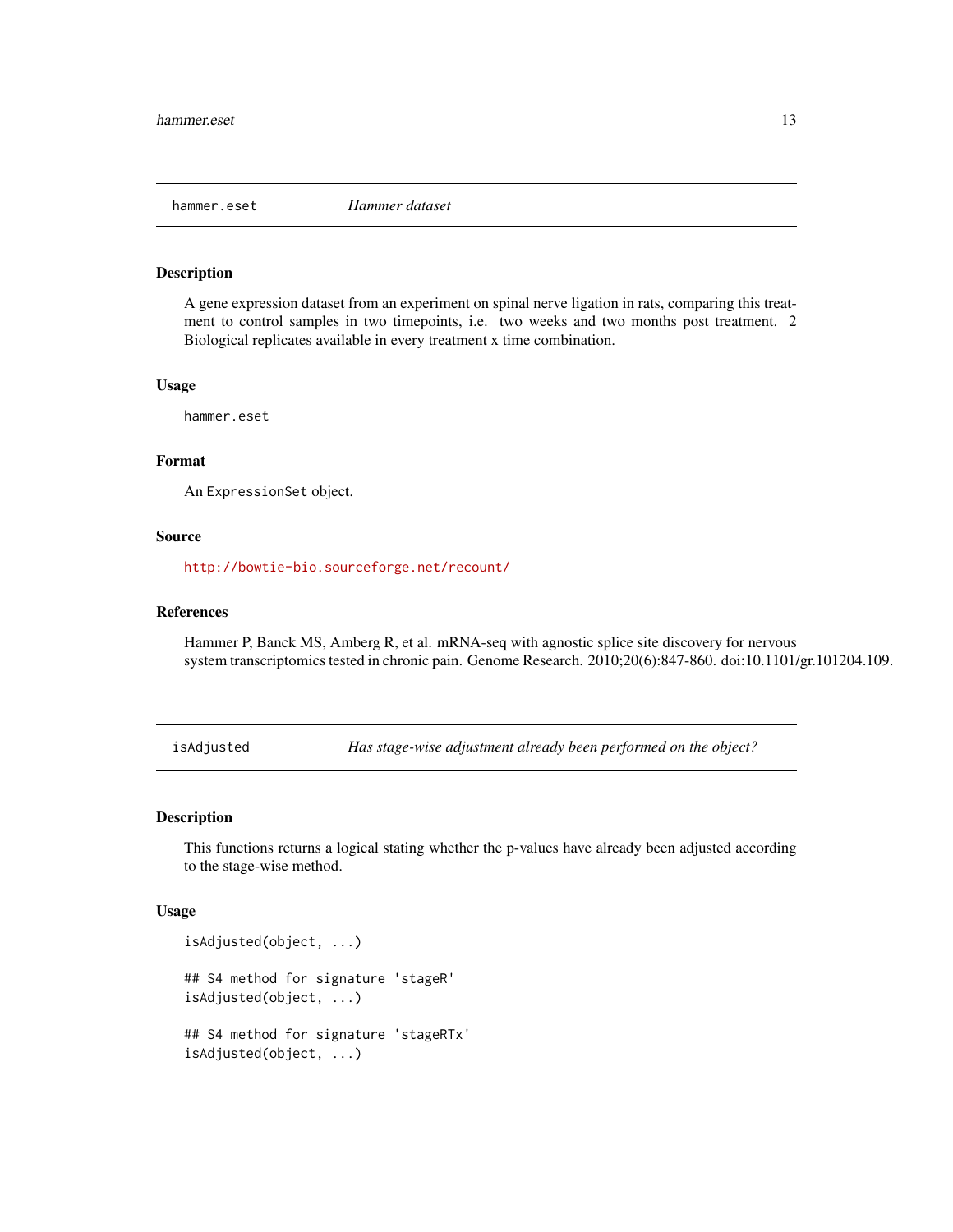<span id="page-12-0"></span>

# Description

A gene expression dataset from an experiment on spinal nerve ligation in rats, comparing this treatment to control samples in two timepoints, i.e. two weeks and two months post treatment. 2 Biological replicates available in every treatment x time combination.

#### Usage

hammer.eset

# Format

An ExpressionSet object.

## Source

<http://bowtie-bio.sourceforge.net/recount/>

#### References

Hammer P, Banck MS, Amberg R, et al. mRNA-seq with agnostic splice site discovery for nervous system transcriptomics tested in chronic pain. Genome Research. 2010;20(6):847-860. doi:10.1101/gr.101204.109.

isAdjusted *Has stage-wise adjustment already been performed on the object?*

#### Description

This functions returns a logical stating whether the p-values have already been adjusted according to the stage-wise method.

```
isAdjusted(object, ...)
## S4 method for signature 'stageR'
isAdjusted(object, ...)
## S4 method for signature 'stageRTx'
isAdjusted(object, ...)
```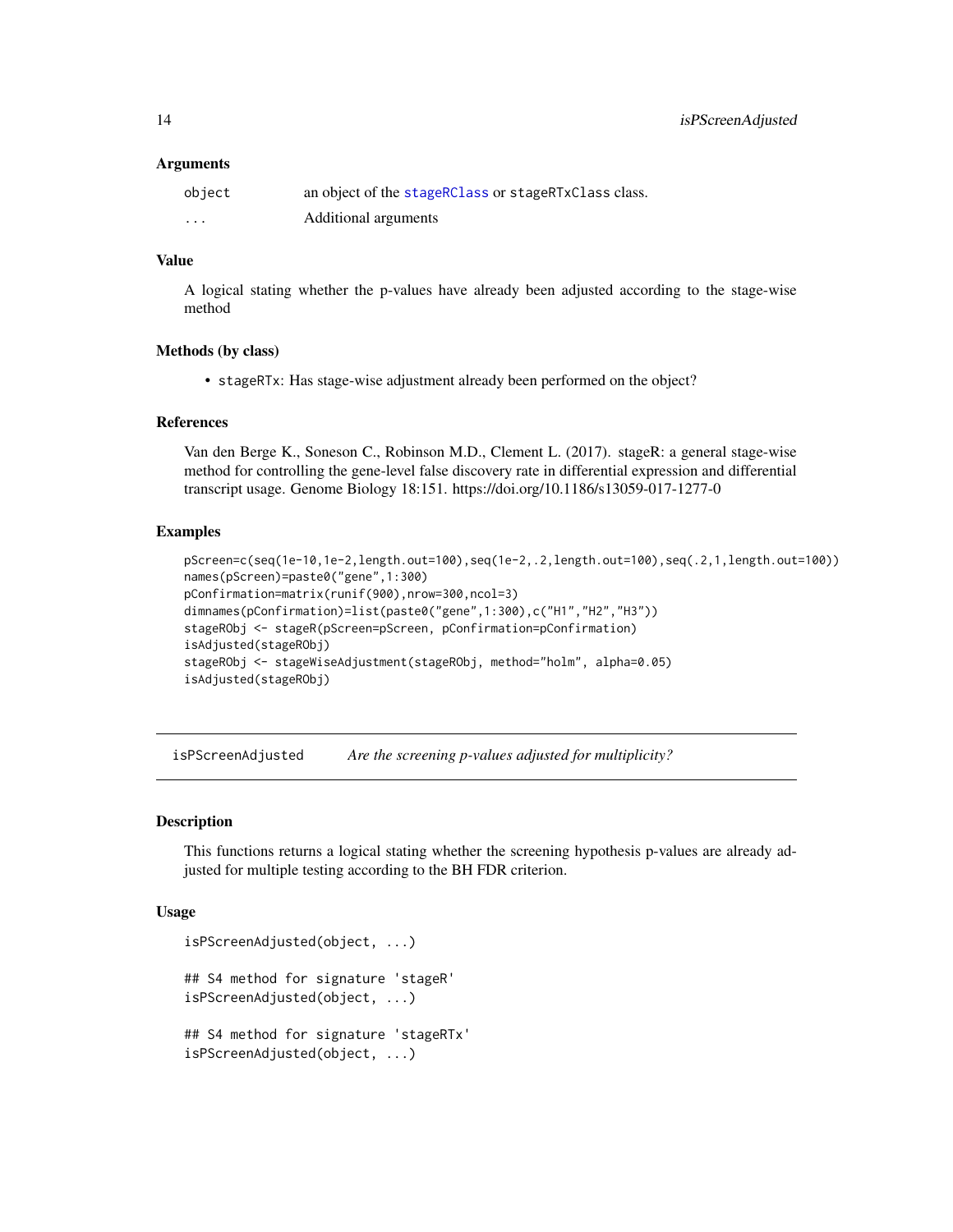#### <span id="page-13-0"></span>Arguments

| object | an object of the stageRClass or stageRTxClass class. |
|--------|------------------------------------------------------|
| .      | Additional arguments                                 |

# Value

A logical stating whether the p-values have already been adjusted according to the stage-wise method

# Methods (by class)

• stageRTx: Has stage-wise adjustment already been performed on the object?

# References

Van den Berge K., Soneson C., Robinson M.D., Clement L. (2017). stageR: a general stage-wise method for controlling the gene-level false discovery rate in differential expression and differential transcript usage. Genome Biology 18:151. https://doi.org/10.1186/s13059-017-1277-0

# Examples

```
pScreen=c(seq(1e-10,1e-2,length.out=100),seq(1e-2,.2,length.out=100),seq(.2,1,length.out=100))
names(pScreen)=paste0("gene",1:300)
pConfirmation=matrix(runif(900),nrow=300,ncol=3)
dimnames(pConfirmation)=list(paste0("gene",1:300),c("H1","H2","H3"))
stageRObj <- stageR(pScreen=pScreen, pConfirmation=pConfirmation)
isAdjusted(stageRObj)
stageRObj <- stageWiseAdjustment(stageRObj, method="holm", alpha=0.05)
isAdjusted(stageRObj)
```
isPScreenAdjusted *Are the screening p-values adjusted for multiplicity?*

# Description

This functions returns a logical stating whether the screening hypothesis p-values are already adjusted for multiple testing according to the BH FDR criterion.

```
isPScreenAdjusted(object, ...)
## S4 method for signature 'stageR'
isPScreenAdjusted(object, ...)
## S4 method for signature 'stageRTx'
isPScreenAdjusted(object, ...)
```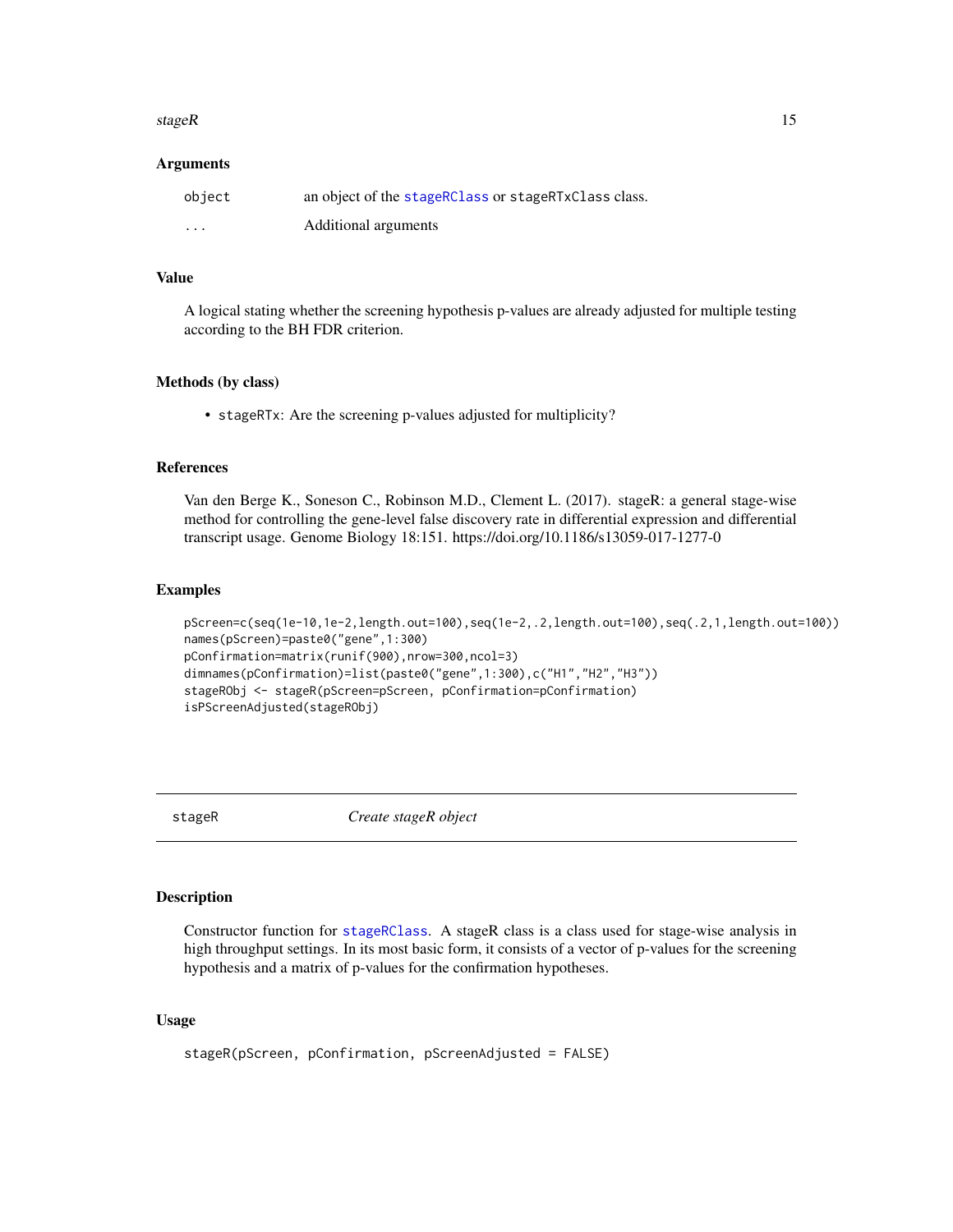#### <span id="page-14-0"></span>stageR  $\blacksquare$  15

#### Arguments

| object   | an object of the stageRClass or stageRTxClass class. |
|----------|------------------------------------------------------|
| $\cdots$ | Additional arguments                                 |

# Value

A logical stating whether the screening hypothesis p-values are already adjusted for multiple testing according to the BH FDR criterion.

# Methods (by class)

• stageRTx: Are the screening p-values adjusted for multiplicity?

#### References

Van den Berge K., Soneson C., Robinson M.D., Clement L. (2017). stageR: a general stage-wise method for controlling the gene-level false discovery rate in differential expression and differential transcript usage. Genome Biology 18:151. https://doi.org/10.1186/s13059-017-1277-0

# Examples

```
pScreen=c(seq(1e-10,1e-2,length.out=100),seq(1e-2,.2,length.out=100),seq(.2,1,length.out=100))
names(pScreen)=paste0("gene",1:300)
pConfirmation=matrix(runif(900),nrow=300,ncol=3)
dimnames(pConfirmation)=list(paste0("gene",1:300),c("H1","H2","H3"))
stageRObj <- stageR(pScreen=pScreen, pConfirmation=pConfirmation)
isPScreenAdjusted(stageRObj)
```
<span id="page-14-1"></span>

stageR *Create stageR object*

# Description

Constructor function for [stageRClass](#page-15-1). A stageR class is a class used for stage-wise analysis in high throughput settings. In its most basic form, it consists of a vector of p-values for the screening hypothesis and a matrix of p-values for the confirmation hypotheses.

```
stageR(pScreen, pConfirmation, pScreenAdjusted = FALSE)
```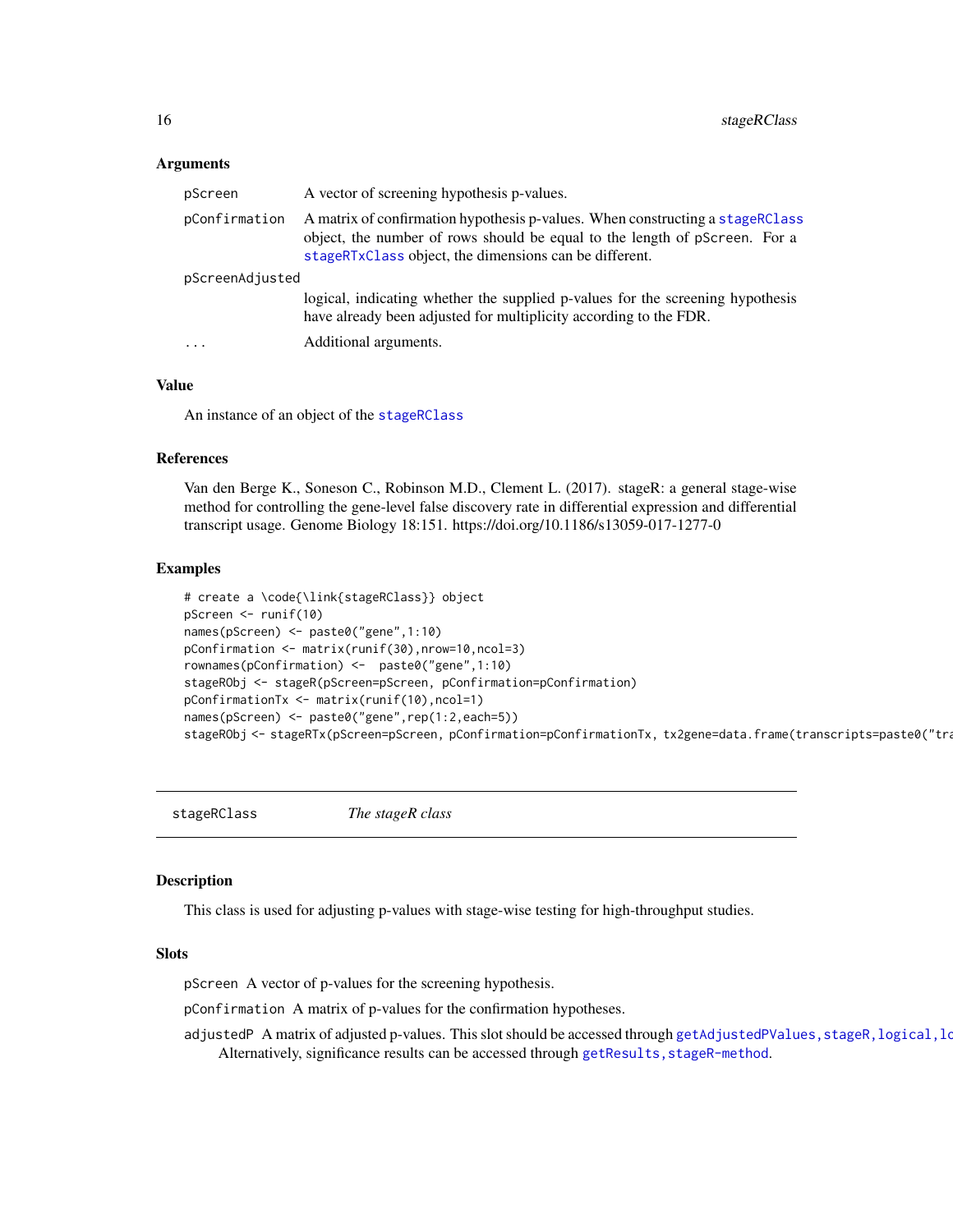#### <span id="page-15-0"></span>Arguments

| pScreen         | A vector of screening hypothesis p-values.                                                                                                                                                                            |
|-----------------|-----------------------------------------------------------------------------------------------------------------------------------------------------------------------------------------------------------------------|
| pConfirmation   | A matrix of confirmation hypothesis p-values. When constructing a stageRClass<br>object, the number of rows should be equal to the length of pScreen. For a<br>stageRTxClass object, the dimensions can be different. |
| pScreenAdjusted |                                                                                                                                                                                                                       |
|                 | logical, indicating whether the supplied p-values for the screening hypothesis<br>have already been adjusted for multiplicity according to the FDR.                                                                   |
| $\cdots$        | Additional arguments.                                                                                                                                                                                                 |

#### Value

An instance of an object of the [stageRClass](#page-15-1)

#### References

Van den Berge K., Soneson C., Robinson M.D., Clement L. (2017). stageR: a general stage-wise method for controlling the gene-level false discovery rate in differential expression and differential transcript usage. Genome Biology 18:151. https://doi.org/10.1186/s13059-017-1277-0

#### Examples

```
# create a \code{\link{stageRClass}} object
pScreen <- runif(10)
names(pScreen) <- paste0("gene",1:10)
pConfirmation <- matrix(runif(30),nrow=10,ncol=3)
rownames(pConfirmation) <- paste0("gene",1:10)
stageRObj <- stageR(pScreen=pScreen, pConfirmation=pConfirmation)
pConfirmationTx <- matrix(runif(10),ncol=1)
names(pScreen) <- paste0("gene",rep(1:2,each=5))
stageRObj <- stageRTx(pScreen=pScreen, pConfirmation=pConfirmationTx, tx2gene=data.frame(transcripts=paste0("tra
```
<span id="page-15-1"></span>stageRClass *The stageR class*

# <span id="page-15-2"></span>**Description**

This class is used for adjusting p-values with stage-wise testing for high-throughput studies.

#### **Slots**

pScreen A vector of p-values for the screening hypothesis.

pConfirmation A matrix of p-values for the confirmation hypotheses.

adjustedP A matrix of adjusted p-values. This slot should be accessed through getAdjustedPValues, stageR, logical, lo Alternatively, significance results can be accessed through getResults, stageR-method.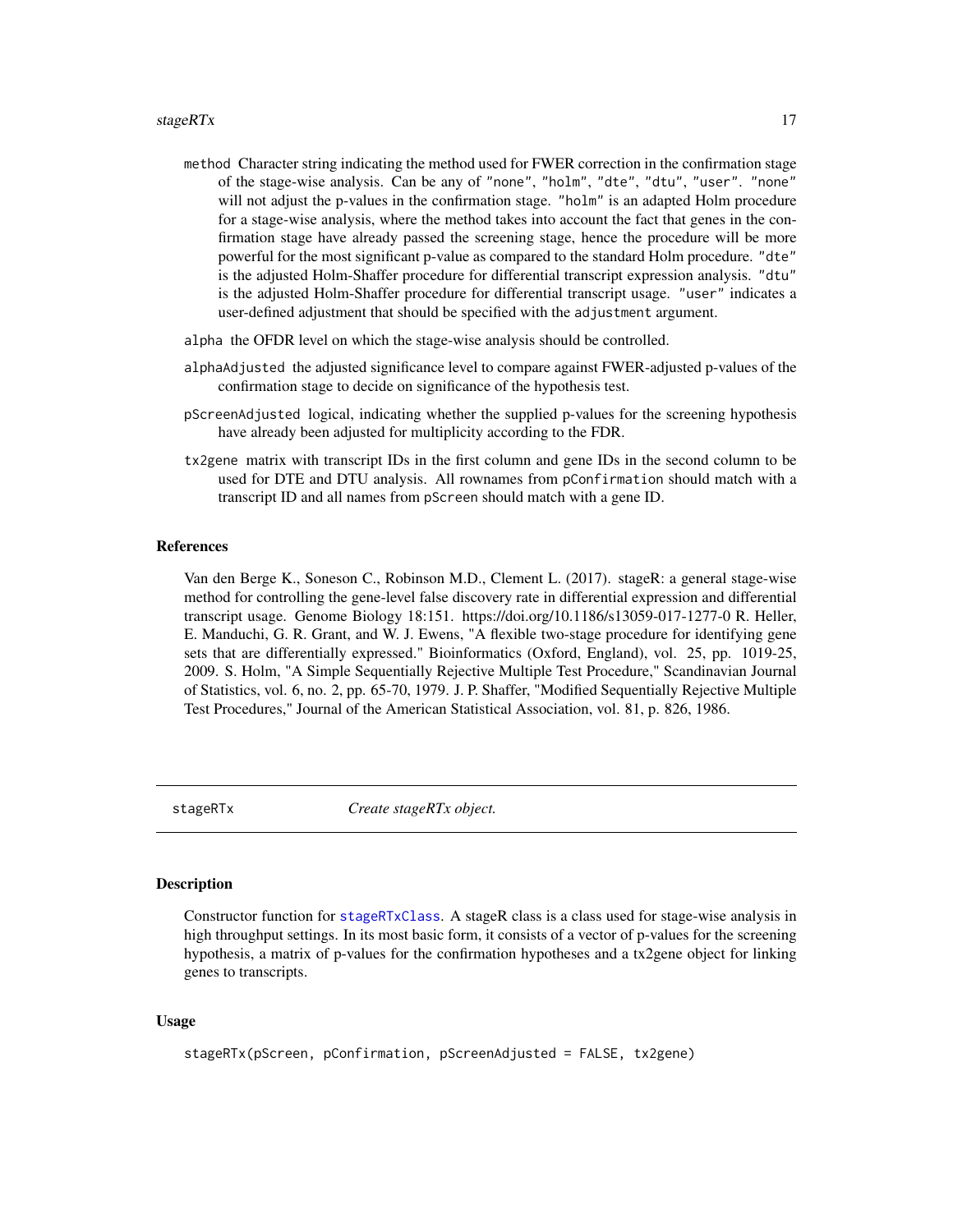- <span id="page-16-0"></span>method Character string indicating the method used for FWER correction in the confirmation stage of the stage-wise analysis. Can be any of "none", "holm", "dte", "dtu", "user". "none" will not adjust the p-values in the confirmation stage. "holm" is an adapted Holm procedure for a stage-wise analysis, where the method takes into account the fact that genes in the confirmation stage have already passed the screening stage, hence the procedure will be more powerful for the most significant p-value as compared to the standard Holm procedure. "dte" is the adjusted Holm-Shaffer procedure for differential transcript expression analysis. "dtu" is the adjusted Holm-Shaffer procedure for differential transcript usage. "user" indicates a user-defined adjustment that should be specified with the adjustment argument.
- alpha the OFDR level on which the stage-wise analysis should be controlled.
- alphaAdjusted the adjusted significance level to compare against FWER-adjusted p-values of the confirmation stage to decide on significance of the hypothesis test.
- pScreenAdjusted logical, indicating whether the supplied p-values for the screening hypothesis have already been adjusted for multiplicity according to the FDR.
- tx2gene matrix with transcript IDs in the first column and gene IDs in the second column to be used for DTE and DTU analysis. All rownames from pConfirmation should match with a transcript ID and all names from pScreen should match with a gene ID.

#### References

Van den Berge K., Soneson C., Robinson M.D., Clement L. (2017). stageR: a general stage-wise method for controlling the gene-level false discovery rate in differential expression and differential transcript usage. Genome Biology 18:151. https://doi.org/10.1186/s13059-017-1277-0 R. Heller, E. Manduchi, G. R. Grant, and W. J. Ewens, "A flexible two-stage procedure for identifying gene sets that are differentially expressed." Bioinformatics (Oxford, England), vol. 25, pp. 1019-25, 2009. S. Holm, "A Simple Sequentially Rejective Multiple Test Procedure," Scandinavian Journal of Statistics, vol. 6, no. 2, pp. 65-70, 1979. J. P. Shaffer, "Modified Sequentially Rejective Multiple Test Procedures," Journal of the American Statistical Association, vol. 81, p. 826, 1986.

stageRTx *Create stageRTx object.*

#### **Description**

Constructor function for [stageRTxClass](#page-15-2). A stageR class is a class used for stage-wise analysis in high throughput settings. In its most basic form, it consists of a vector of p-values for the screening hypothesis, a matrix of p-values for the confirmation hypotheses and a tx2gene object for linking genes to transcripts.

```
stageRTx(pScreen, pConfirmation, pScreenAdjusted = FALSE, tx2gene)
```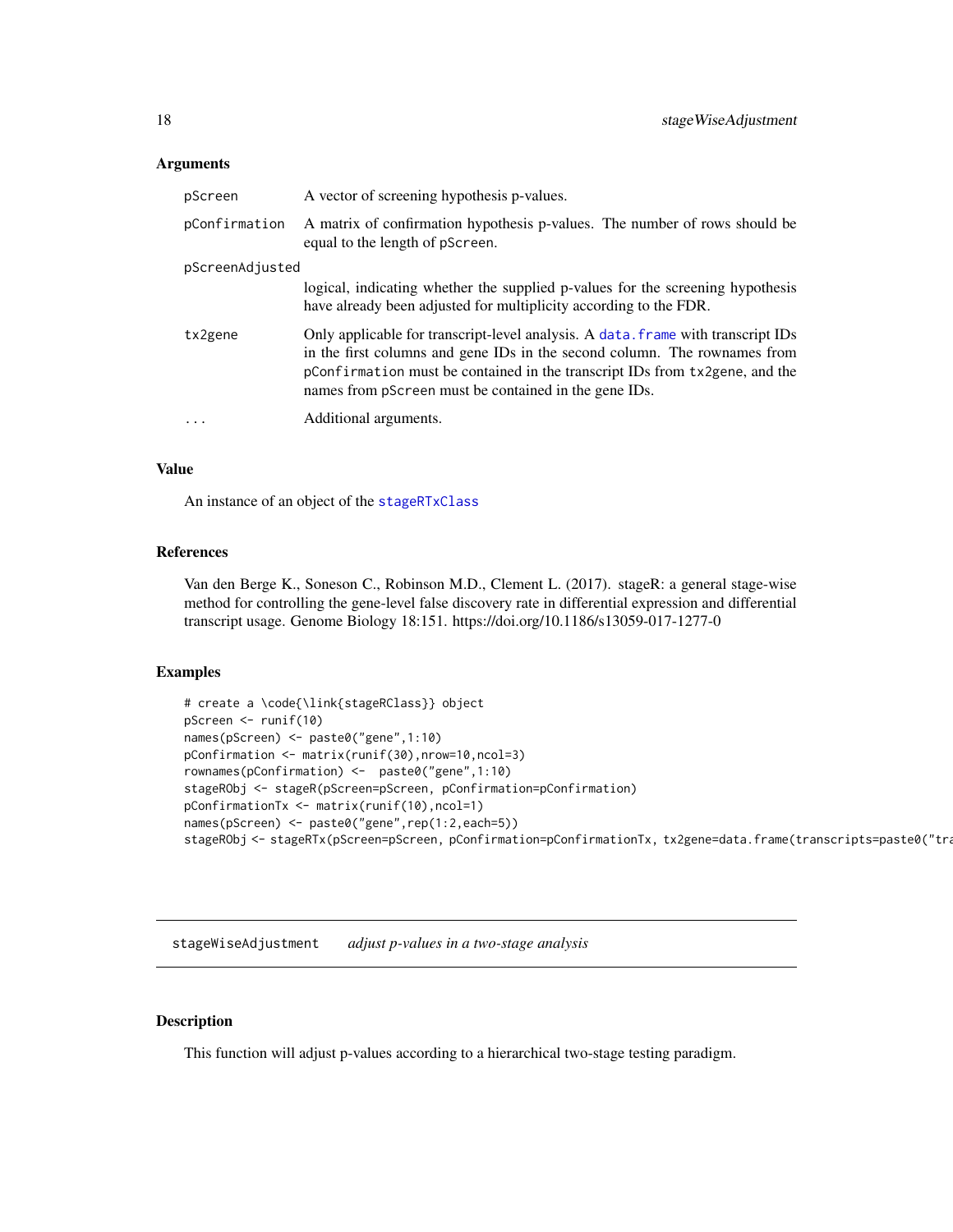# <span id="page-17-0"></span>**Arguments**

| pScreen           | A vector of screening hypothesis p-values.                                                                                                                                                                                                                                                            |
|-------------------|-------------------------------------------------------------------------------------------------------------------------------------------------------------------------------------------------------------------------------------------------------------------------------------------------------|
| pConfirmation     | A matrix of confirmation hypothesis p-values. The number of rows should be<br>equal to the length of pScreen.                                                                                                                                                                                         |
| pScreenAdjusted   |                                                                                                                                                                                                                                                                                                       |
|                   | logical, indicating whether the supplied p-values for the screening hypothesis<br>have already been adjusted for multiplicity according to the FDR.                                                                                                                                                   |
| tx2gene           | Only applicable for transcript-level analysis. A data. frame with transcript IDs<br>in the first columns and gene IDs in the second column. The rownames from<br>pConfirmation must be contained in the transcript IDs from tx2gene, and the<br>names from pScreen must be contained in the gene IDs. |
| $\cdot\cdot\cdot$ | Additional arguments.                                                                                                                                                                                                                                                                                 |

### Value

An instance of an object of the [stageRTxClass](#page-15-2)

# References

Van den Berge K., Soneson C., Robinson M.D., Clement L. (2017). stageR: a general stage-wise method for controlling the gene-level false discovery rate in differential expression and differential transcript usage. Genome Biology 18:151. https://doi.org/10.1186/s13059-017-1277-0

# Examples

```
# create a \code{\link{stageRClass}} object
pScreen <- runif(10)
names(pScreen) <- paste0("gene",1:10)
pConfirmation <- matrix(runif(30),nrow=10,ncol=3)
rownames(pConfirmation) <- paste0("gene",1:10)
stageRObj <- stageR(pScreen=pScreen, pConfirmation=pConfirmation)
pConfirmationTx <- matrix(runif(10),ncol=1)
names(pScreen) <- paste0("gene",rep(1:2,each=5))
stageRObj <- stageRTx(pScreen=pScreen, pConfirmation=pConfirmationTx, tx2gene=data.frame(transcripts=paste0("tra
```
stageWiseAdjustment *adjust p-values in a two-stage analysis*

# Description

This function will adjust p-values according to a hierarchical two-stage testing paradigm.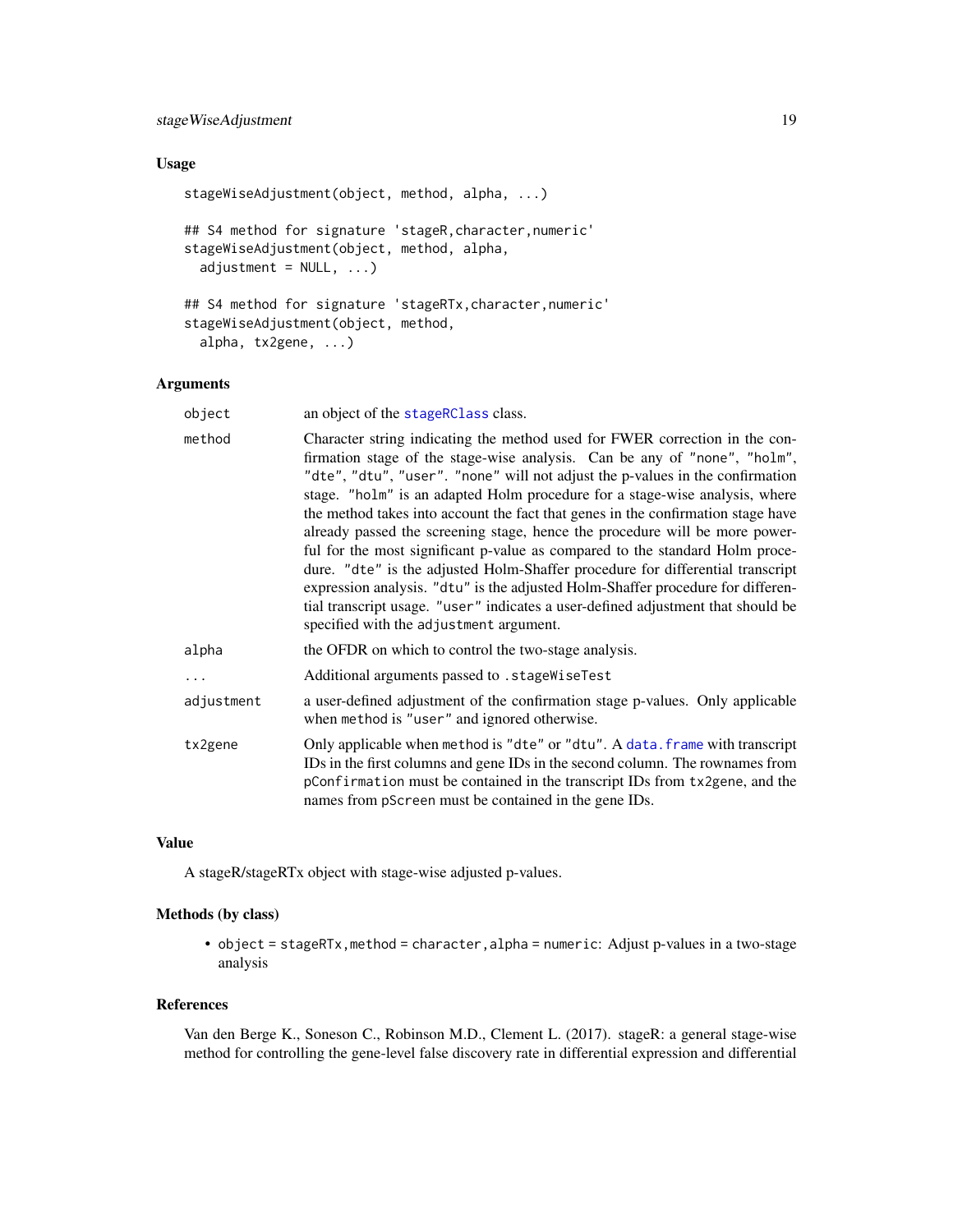# <span id="page-18-0"></span>stageWiseAdjustment 19

# Usage

```
stageWiseAdjustment(object, method, alpha, ...)
## S4 method for signature 'stageR,character,numeric'
stageWiseAdjustment(object, method, alpha,
 adjustment = NULL, ...)## S4 method for signature 'stageRTx, character, numeric'
stageWiseAdjustment(object, method,
  alpha, tx2gene, ...)
```
# Arguments

| object     | an object of the stageRClass class.                                                                                                                                                                                                                                                                                                                                                                                                                                                                                                                                                                                                                                                                                                                                                                                                                                             |
|------------|---------------------------------------------------------------------------------------------------------------------------------------------------------------------------------------------------------------------------------------------------------------------------------------------------------------------------------------------------------------------------------------------------------------------------------------------------------------------------------------------------------------------------------------------------------------------------------------------------------------------------------------------------------------------------------------------------------------------------------------------------------------------------------------------------------------------------------------------------------------------------------|
| method     | Character string indicating the method used for FWER correction in the con-<br>firmation stage of the stage-wise analysis. Can be any of "none", "holm",<br>"dte", "dtu", "user". "none" will not adjust the p-values in the confirmation<br>stage. "holm" is an adapted Holm procedure for a stage-wise analysis, where<br>the method takes into account the fact that genes in the confirmation stage have<br>already passed the screening stage, hence the procedure will be more power-<br>ful for the most significant p-value as compared to the standard Holm proce-<br>dure. "dte" is the adjusted Holm-Shaffer procedure for differential transcript<br>expression analysis. "dtu" is the adjusted Holm-Shaffer procedure for differen-<br>tial transcript usage. "user" indicates a user-defined adjustment that should be<br>specified with the adjustment argument. |
| alpha      | the OFDR on which to control the two-stage analysis.                                                                                                                                                                                                                                                                                                                                                                                                                                                                                                                                                                                                                                                                                                                                                                                                                            |
| $\ddots$   | Additional arguments passed to . stageWiseTest                                                                                                                                                                                                                                                                                                                                                                                                                                                                                                                                                                                                                                                                                                                                                                                                                                  |
| adjustment | a user-defined adjustment of the confirmation stage p-values. Only applicable<br>when method is "user" and ignored otherwise.                                                                                                                                                                                                                                                                                                                                                                                                                                                                                                                                                                                                                                                                                                                                                   |
| tx2gene    | Only applicable when method is "dte" or "dtu". A data. frame with transcript<br>IDs in the first columns and gene IDs in the second column. The rownames from<br>pConfirmation must be contained in the transcript IDs from tx2gene, and the<br>names from pScreen must be contained in the gene IDs.                                                                                                                                                                                                                                                                                                                                                                                                                                                                                                                                                                           |

# Value

A stageR/stageRTx object with stage-wise adjusted p-values.

# Methods (by class)

• object = stageRTx, method = character, alpha = numeric: Adjust p-values in a two-stage analysis

#### References

Van den Berge K., Soneson C., Robinson M.D., Clement L. (2017). stageR: a general stage-wise method for controlling the gene-level false discovery rate in differential expression and differential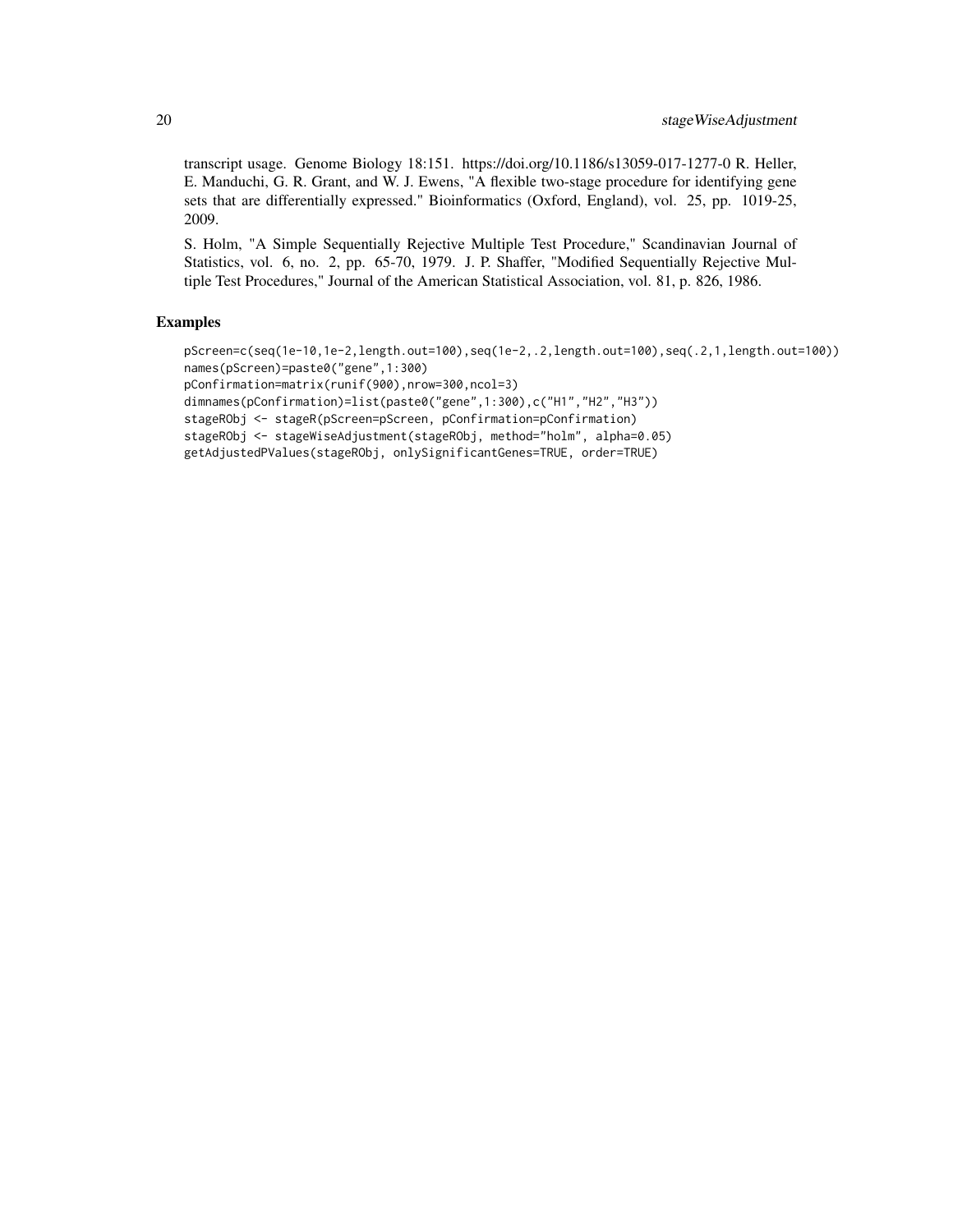transcript usage. Genome Biology 18:151. https://doi.org/10.1186/s13059-017-1277-0 R. Heller, E. Manduchi, G. R. Grant, and W. J. Ewens, "A flexible two-stage procedure for identifying gene sets that are differentially expressed." Bioinformatics (Oxford, England), vol. 25, pp. 1019-25, 2009.

S. Holm, "A Simple Sequentially Rejective Multiple Test Procedure," Scandinavian Journal of Statistics, vol. 6, no. 2, pp. 65-70, 1979. J. P. Shaffer, "Modified Sequentially Rejective Multiple Test Procedures," Journal of the American Statistical Association, vol. 81, p. 826, 1986.

```
pScreen=c(seq(1e-10,1e-2,length.out=100),seq(1e-2,.2,length.out=100),seq(.2,1,length.out=100))
names(pScreen)=paste0("gene",1:300)
pConfirmation=matrix(runif(900),nrow=300,ncol=3)
dimnames(pConfirmation)=list(paste0("gene",1:300),c("H1","H2","H3"))
stageRObj <- stageR(pScreen=pScreen, pConfirmation=pConfirmation)
stageRObj <- stageWiseAdjustment(stageRObj, method="holm", alpha=0.05)
getAdjustedPValues(stageRObj, onlySignificantGenes=TRUE, order=TRUE)
```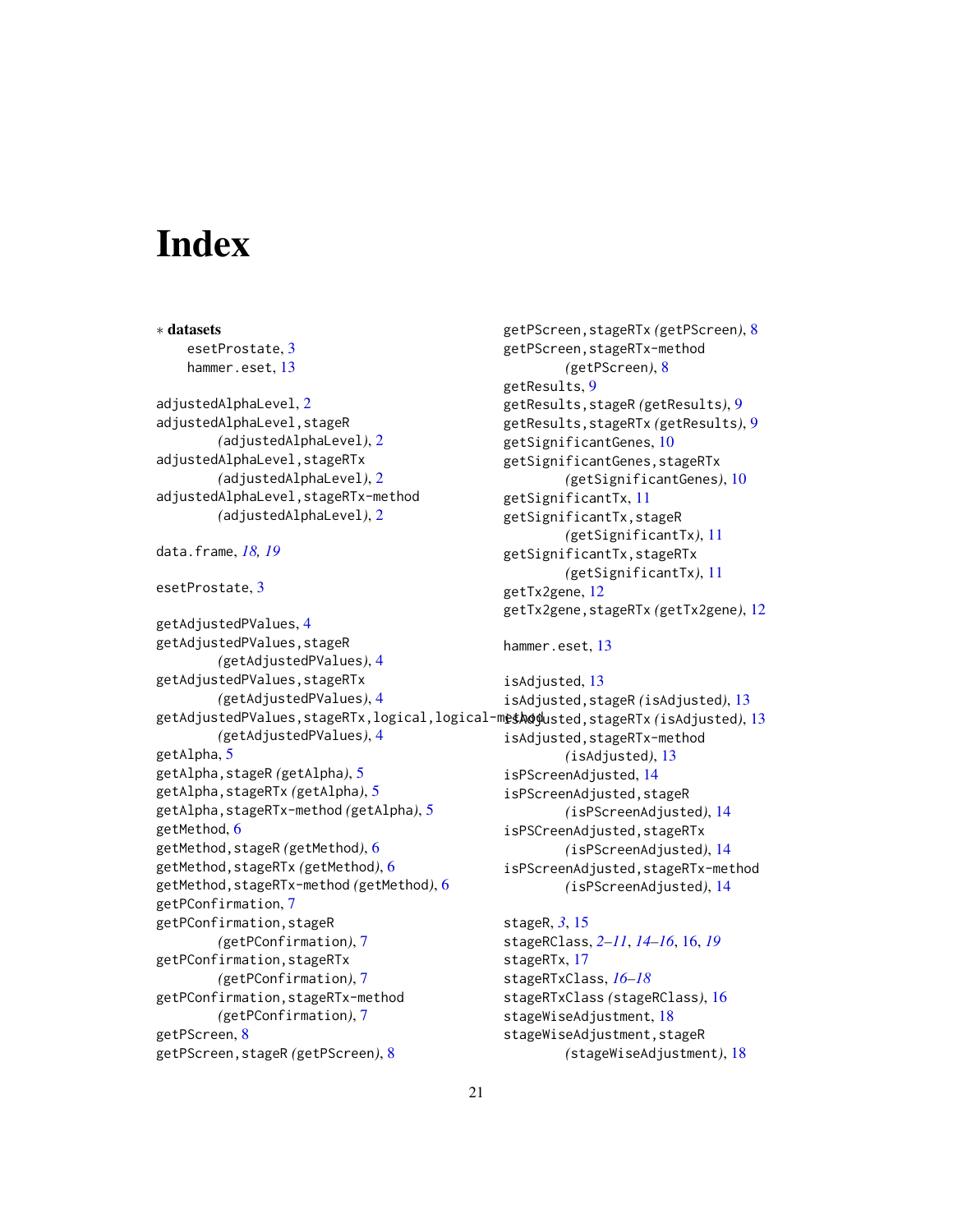# <span id="page-20-0"></span>**Index**

∗ datasets esetProstate, [3](#page-2-0) hammer.eset, [13](#page-12-0) adjustedAlphaLevel, [2](#page-1-0) adjustedAlphaLevel,stageR *(*adjustedAlphaLevel*)*, [2](#page-1-0) adjustedAlphaLevel,stageRTx *(*adjustedAlphaLevel*)*, [2](#page-1-0) adjustedAlphaLevel,stageRTx-method *(*adjustedAlphaLevel*)*, [2](#page-1-0) data.frame, *[18,](#page-17-0) [19](#page-18-0)* esetProstate, [3](#page-2-0) getAdjustedPValues, [4](#page-3-0) getAdjustedPValues,stageR *(*getAdjustedPValues*)*, [4](#page-3-0) getAdjustedPValues,stageRTx *(*getAdjustedPValues*)*, [4](#page-3-0) getAdjustedPValues,stageRTx,logical,logical-method isAdjusted,stageRTx *(*isAdjusted*)*, [13](#page-12-0) *(*getAdjustedPValues*)*, [4](#page-3-0) getAlpha, [5](#page-4-0) getAlpha,stageR *(*getAlpha*)*, [5](#page-4-0) getAlpha,stageRTx *(*getAlpha*)*, [5](#page-4-0) getAlpha,stageRTx-method *(*getAlpha*)*, [5](#page-4-0) getMethod, [6](#page-5-0) getMethod,stageR *(*getMethod*)*, [6](#page-5-0) getMethod,stageRTx *(*getMethod*)*, [6](#page-5-0) getMethod,stageRTx-method *(*getMethod*)*, [6](#page-5-0) getPConfirmation, [7](#page-6-0) getPConfirmation,stageR *(*getPConfirmation*)*, [7](#page-6-0) getPConfirmation,stageRTx *(*getPConfirmation*)*, [7](#page-6-0) getPConfirmation,stageRTx-method *(*getPConfirmation*)*, [7](#page-6-0) getPScreen, [8](#page-7-0) getPScreen,stageR *(*getPScreen*)*, [8](#page-7-0)

```
getPScreen,stageRTx (getPScreen), 8
getPScreen,stageRTx-method
        (getPScreen), 8
getResults, 9
getResults,stageR (getResults), 9
getResults,stageRTx (getResults), 9
getSignificantGenes, 10
getSignificantGenes,stageRTx
        (getSignificantGenes), 10
getSignificantTx, 11
getSignificantTx,stageR
        (getSignificantTx), 11
getSignificantTx,stageRTx
        (getSignificantTx), 11
getTx2gene, 12
getTx2gene,stageRTx (getTx2gene), 12
hammer.eset, 13
```
isAdjusted, [13](#page-12-0) isAdjusted,stageR *(*isAdjusted*)*, [13](#page-12-0) isAdjusted,stageRTx-method *(*isAdjusted*)*, [13](#page-12-0) isPScreenAdjusted, [14](#page-13-0) isPScreenAdjusted,stageR *(*isPScreenAdjusted*)*, [14](#page-13-0) isPSCreenAdjusted,stageRTx *(*isPScreenAdjusted*)*, [14](#page-13-0) isPScreenAdjusted,stageRTx-method *(*isPScreenAdjusted*)*, [14](#page-13-0)

stageR, *[3](#page-2-0)*, [15](#page-14-0) stageRClass, *[2](#page-1-0)[–11](#page-10-0)*, *[14](#page-13-0)[–16](#page-15-0)*, [16,](#page-15-0) *[19](#page-18-0)* stageRTx, [17](#page-16-0) stageRTxClass, *[16](#page-15-0)[–18](#page-17-0)* stageRTxClass *(*stageRClass*)*, [16](#page-15-0) stageWiseAdjustment, [18](#page-17-0) stageWiseAdjustment,stageR *(*stageWiseAdjustment*)*, [18](#page-17-0)